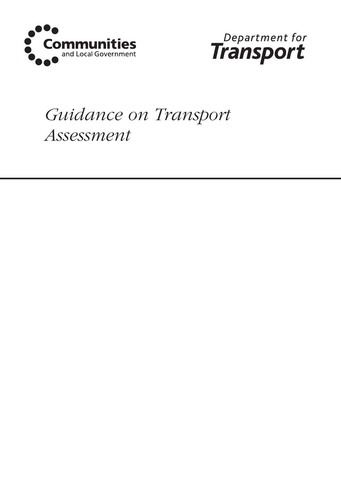



# *Guidance on Transport Assessment*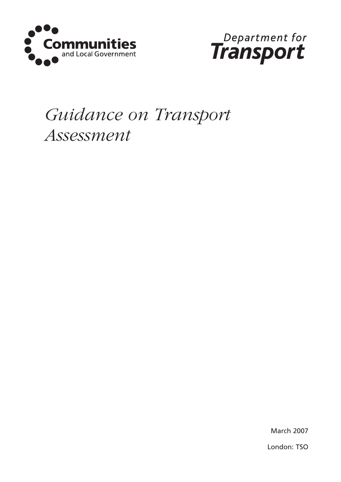



## *Guidance on Transport Assessment*

March 2007 London: TSO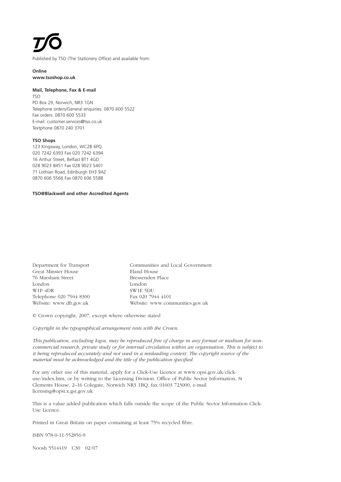Published by TSO (The Stationery Office) and available from:

**Online www.tsoshop.co.uk**

#### **Mail, Telephone, Fax & E-mail** TSO

PO Box 29, Norwich, NR3 1GN Telephone orders/General enquiries: 0870 600 5522 Fax orders: 0870 600 5533 E-mail: customer.services@tso.co.uk Textphone 0870 240 3701

#### **TSO Shops**

 Kingsway, London, WC2B 6PQ 7242 6393 Fax 020 7242 6394 Arthur Street, Belfast BT1 4GD 9023 8451 Fax 028 9023 5401 Lothian Road, Edinburgh EH3 9AZ 606 5566 Fax 0870 606 5588

#### **TSO@Blackwell and other Accredited Agents**

| Department for Transport                     |
|----------------------------------------------|
| Great Minster House                          |
| 76 Marsham Street                            |
| London                                       |
| W <sub>1</sub> P <sub>4</sub> D <sub>R</sub> |
| Telephone 020 7944 8300                      |
| Website: www.dft.gov.uk                      |

Communities and Local Government Eland House Bressenden Place London London SW1E 5DU Fax 020 7944 4101 Website: www.communities.gov.uk

© Crown copyright, 2007, except where otherwise stated

#### *Copyright in the typographical arrangement rests with the Crown.*

*This publication, excluding logos, may be reproduced free of charge in any format or medium for noncommercial research, private study or for internal circulation within an organisation. This is subject to it being reproduced accurately and not used in a misleading context. The copyright source of the material must be acknowledged and the title of the publication specified.*

For any other use of this material, apply for a Click-Use Licence at www.opsi.gov.uk/clickuse/index.htm, or by writing to the Licensing Division, Office of Public Sector Information, St Clements House, 2–16 Colegate, Norwich NR3 1BQ, fax 01603 723000, e-mail licensing@opsi.x.gsi.gov.uk

This is a value added publication which falls outside the scope of the Public Sector Information Click-Use Licence.

Printed in Great Britain on paper containing at least 75% recycled fibre.

ISBN 978-0-11-552856-9

Noosh 5514419 C30 02/07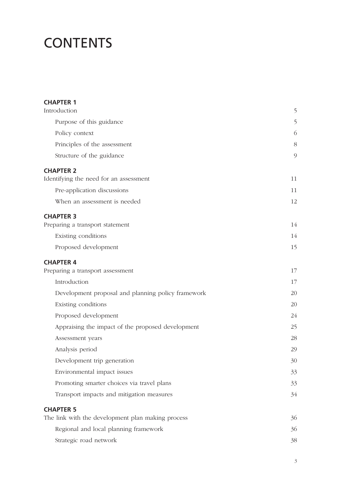### **CONTENTS**

| <b>CHAPTER 1</b>                                           |         |
|------------------------------------------------------------|---------|
| Introduction                                               | 5       |
| Purpose of this guidance                                   | 5       |
| Policy context                                             | 6       |
| Principles of the assessment                               | 8       |
| Structure of the guidance                                  | $\circ$ |
| <b>CHAPTER 2</b><br>Identifying the need for an assessment | 11      |
| Pre-application discussions                                | 11      |
| When an assessment is needed                               | 12      |
| <b>CHAPTER 3</b><br>Preparing a transport statement        | 14      |
| Existing conditions                                        | 14      |
| Proposed development                                       | 15      |
| <b>CHAPTER 4</b>                                           |         |
| Preparing a transport assessment                           | 17      |
| Introduction                                               | 17      |
| Development proposal and planning policy framework         | 20      |
| Existing conditions                                        | 20      |
| Proposed development                                       | 24      |
| Appraising the impact of the proposed development          | 25      |
| Assessment years                                           | 28      |
| Analysis period                                            | 29      |
| Development trip generation                                | 30      |
| Environmental impact issues                                | 33      |
| Promoting smarter choices via travel plans                 | 33      |
| Transport impacts and mitigation measures                  | 34      |
| <b>CHAPTER 5</b>                                           |         |
| The link with the development plan making process          | 36      |
| Regional and local planning framework                      | 36      |
| Strategic road network                                     | 38      |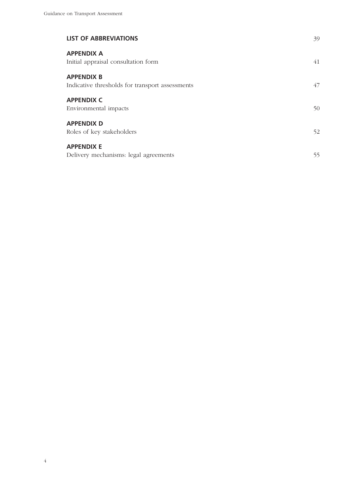| <b>LIST OF ABBREVIATIONS</b>                                         | 39 |
|----------------------------------------------------------------------|----|
| <b>APPENDIX A</b><br>Initial appraisal consultation form             | 41 |
| <b>APPENDIX B</b><br>Indicative thresholds for transport assessments | 47 |
| <b>APPENDIX C</b><br>Environmental impacts                           | 50 |
| <b>APPENDIX D</b><br>Roles of key stakeholders                       | 52 |
| <b>APPENDIX E</b><br>Delivery mechanisms: legal agreements           | 55 |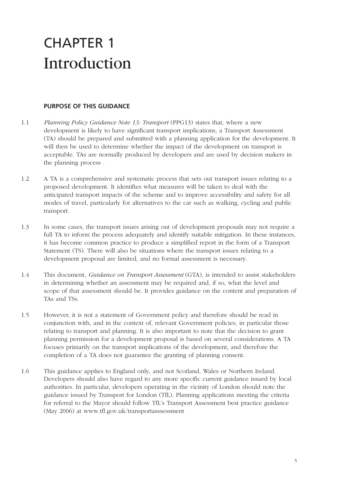### CHAPTER 1 Introduction

#### **PURPOSE OF THIS GUIDANCE**

- 1.1 *Planning Policy Guidance Note 13: Transport* (PPG13) states that, where a new development is likely to have significant transport implications, a Transport Assessment (TA) should be prepared and submitted with a planning application for the development. It will then be used to determine whether the impact of the development on transport is acceptable. TAs are normally produced by developers and are used by decision makers in the planning process .
- 1.2 A TA is a comprehensive and systematic process that sets out transport issues relating to a proposed development. It identifies what measures will be taken to deal with the anticipated transport impacts of the scheme and to improve accessibility and safety for all modes of travel, particularly for alternatives to the car such as walking, cycling and public transport.
- 1.3 In some cases, the transport issues arising out of development proposals may not require a full TA to inform the process adequately and identify suitable mitigation. In these instances, it has become common practice to produce a simplified report in the form of a Transport Statement (TS). There will also be situations where the transport issues relating to a development proposal are limited, and no formal assessment is necessary.
- 1.4 This document, *Guidance on Transport Assessment* (GTA), is intended to assist stakeholders in determining whether an assessment may be required and, if so, what the level and scope of that assessment should be. It provides guidance on the content and preparation of TAs and TSs.
- 1.5 However, it is not a statement of Government policy and therefore should be read in conjunction with, and in the context of, relevant Government policies, in particular those relating to transport and planning. It is also important to note that the decision to grant planning permission for a development proposal is based on several considerations. A TA focuses primarily on the transport implications of the development, and therefore the completion of a TA does not guarantee the granting of planning consent.
- 1.6 This guidance applies to England only, and not Scotland, Wales or Northern Ireland. Developers should also have regard to any more specific current guidance issued by local authorities. In particular, developers operating in the vicinity of London should note the guidance issued by Transport for London (TfL). Planning applications meeting the criteria for referral to the Mayor should follow TfL's Transport Assessment best practice guidance (May 2006) at www.tfl.gov.uk/transportasssessment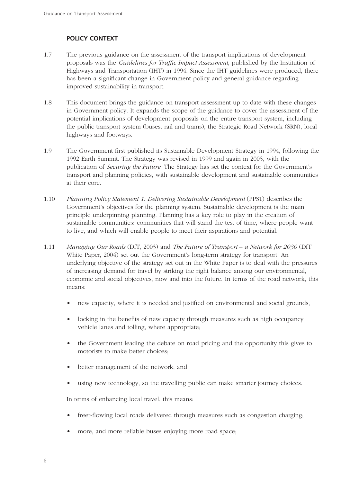#### **POLICY CONTEXT**

- 1.7 The previous guidance on the assessment of the transport implications of development proposals was the *Guidelines for Traffic Impact Assessment*, published by the Institution of Highways and Transportation (IHT) in 1994. Since the IHT guidelines were produced, there has been a significant change in Government policy and general guidance regarding improved sustainability in transport.
- 1.8 This document brings the guidance on transport assessment up to date with these changes in Government policy. It expands the scope of the guidance to cover the assessment of the potential implications of development proposals on the entire transport system, including the public transport system (buses, rail and trams), the Strategic Road Network (SRN), local highways and footways.
- 1.9 The Government first published its Sustainable Development Strategy in 1994, following the 1992 Earth Summit. The Strategy was revised in 1999 and again in 2005, with the publication of *Securing the Future*. The Strategy has set the context for the Government's transport and planning policies, with sustainable development and sustainable communities at their core.
- 1.10 *Planning Policy Statement 1: Delivering Sustainable Development* (PPS1) describes the Government's objectives for the planning system. Sustainable development is the main principle underpinning planning. Planning has a key role to play in the creation of sustainable communities: communities that will stand the test of time, where people want to live, and which will enable people to meet their aspirations and potential.
- 1.11 *Managing Our Roads* (DfT, 2003) and *The Future of Transport – a Network for 2030* (DfT White Paper, 2004) set out the Government's long-term strategy for transport. An underlying objective of the strategy set out in the White Paper is to deal with the pressures of increasing demand for travel by striking the right balance among our environmental, economic and social objectives, now and into the future. In terms of the road network, this means:
	- new capacity, where it is needed and justified on environmental and social grounds;
	- locking in the benefits of new capacity through measures such as high occupancy vehicle lanes and tolling, where appropriate;
	- the Government leading the debate on road pricing and the opportunity this gives to motorists to make better choices;
	- better management of the network; and
	- using new technology, so the travelling public can make smarter journey choices.

In terms of enhancing local travel, this means:

- freer-flowing local roads delivered through measures such as congestion charging;
- more, and more reliable buses enjoying more road space;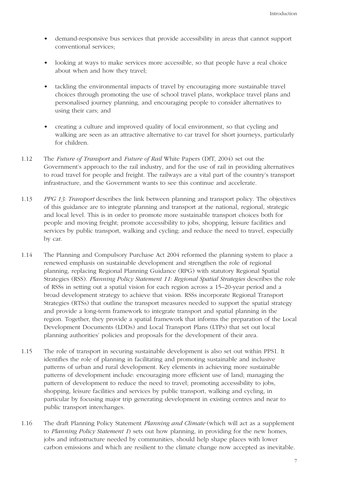- demand-responsive bus services that provide accessibility in areas that cannot support conventional services;
- looking at ways to make services more accessible, so that people have a real choice about when and how they travel;
- tackling the environmental impacts of travel by encouraging more sustainable travel choices through promoting the use of school travel plans, workplace travel plans and personalised journey planning, and encouraging people to consider alternatives to using their cars; and
- creating a culture and improved quality of local environment, so that cycling and walking are seen as an attractive alternative to car travel for short journeys, particularly for children.
- 1.12 The *Future of Transport* and *Future of Rail* White Papers (DfT, 2004) set out the Government's approach to the rail industry, and for the use of rail in providing alternatives to road travel for people and freight. The railways are a vital part of the country's transport infrastructure, and the Government wants to see this continue and accelerate.
- 1.13 *PPG 13: Transport* describes the link between planning and transport policy. The objectives of this guidance are to integrate planning and transport at the national, regional, strategic and local level. This is in order to promote more sustainable transport choices both for people and moving freight; promote accessibility to jobs, shopping, leisure facilities and services by public transport, walking and cycling; and reduce the need to travel, especially by car.
- 1.14 The Planning and Compulsory Purchase Act 2004 reformed the planning system to place a renewed emphasis on sustainable development and strengthen the role of regional planning, replacing Regional Planning Guidance (RPG) with statutory Regional Spatial Strategies (RSS). *Planning Policy Statement 11: Regional Spatial Strategies* describes the role of RSSs in setting out a spatial vision for each region across a 15–20-year period and a broad development strategy to achieve that vision. RSSs incorporate Regional Transport Strategies (RTSs) that outline the transport measures needed to support the spatial strategy and provide a long-term framework to integrate transport and spatial planning in the region. Together, they provide a spatial framework that informs the preparation of the Local Development Documents (LDDs) and Local Transport Plans (LTPs) that set out local planning authorities' policies and proposals for the development of their area.
- 1.15 The role of transport in securing sustainable development is also set out within PPS1. It identifies the role of planning in facilitating and promoting sustainable and inclusive patterns of urban and rural development. Key elements in achieving more sustainable patterns of development include: encouraging more efficient use of land; managing the pattern of development to reduce the need to travel; promoting accessibility to jobs, shopping, leisure facilities and services by public transport, walking and cycling, in particular by focusing major trip generating development in existing centres and near to public transport interchanges.
- 1.16 The draft Planning Policy Statement *Planning and Climate* (which will act as a supplement to *Planning Policy Statement 1*) sets out how planning, in providing for the new homes, jobs and infrastructure needed by communities, should help shape places with lower carbon emissions and which are resilient to the climate change now accepted as inevitable.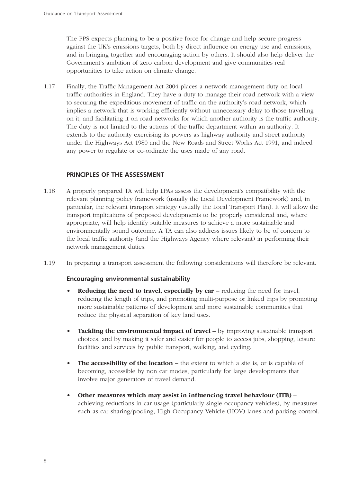The PPS expects planning to be a positive force for change and help secure progress against the UK's emissions targets, both by direct influence on energy use and emissions, and in bringing together and encouraging action by others. It should also help deliver the Government's ambition of zero carbon development and give communities real opportunities to take action on climate change.

1.17 Finally, the Traffic Management Act 2004 places a network management duty on local traffic authorities in England. They have a duty to manage their road network with a view to securing the expeditious movement of traffic on the authority's road network, which implies a network that is working efficiently without unnecessary delay to those travelling on it, and facilitating it on road networks for which another authority is the traffic authority. The duty is not limited to the actions of the traffic department within an authority. It extends to the authority exercising its powers as highway authority and street authority under the Highways Act 1980 and the New Roads and Street Works Act 1991, and indeed any power to regulate or co-ordinate the uses made of any road.

#### **PRINCIPLES OF THE ASSESSMENT**

- 1.18 A properly prepared TA will help LPAs assess the development's compatibility with the relevant planning policy framework (usually the Local Development Framework) and, in particular, the relevant transport strategy (usually the Local Transport Plan). It will allow the transport implications of proposed developments to be properly considered and, where appropriate, will help identify suitable measures to achieve a more sustainable and environmentally sound outcome. A TA can also address issues likely to be of concern to the local traffic authority (and the Highways Agency where relevant) in performing their network management duties.
- 1.19 In preparing a transport assessment the following considerations will therefore be relevant.

#### **Encouraging environmental sustainability**

- **Reducing the need to travel, especially by car** reducing the need for travel, reducing the length of trips, and promoting multi-purpose or linked trips by promoting more sustainable patterns of development and more sustainable communities that reduce the physical separation of key land uses.
- **Tackling the environmental impact of travel** by improving sustainable transport choices, and by making it safer and easier for people to access jobs, shopping, leisure facilities and services by public transport, walking, and cycling.
- **The accessibility of the location** the extent to which a site is, or is capable of becoming, accessible by non car modes, particularly for large developments that involve major generators of travel demand.
- **Other measures which may assist in influencing travel behaviour (ITB)** achieving reductions in car usage (particularly single occupancy vehicles), by measures such as car sharing/pooling, High Occupancy Vehicle (HOV) lanes and parking control.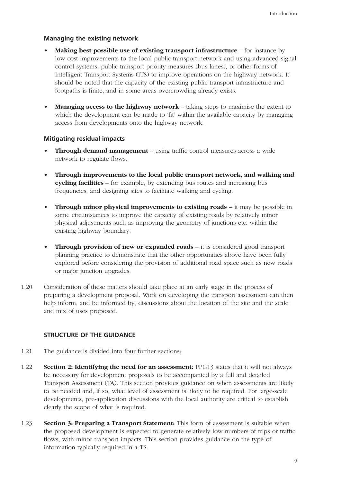#### **Managing the existing network**

- **Making best possible use of existing transport infrastructure** for instance by low-cost improvements to the local public transport network and using advanced signal control systems, public transport priority measures (bus lanes), or other forms of Intelligent Transport Systems (ITS) to improve operations on the highway network. It should be noted that the capacity of the existing public transport infrastructure and footpaths is finite, and in some areas overcrowding already exists.
- **Managing access to the highway network** taking steps to maximise the extent to which the development can be made to 'fit' within the available capacity by managing access from developments onto the highway network.

#### **Mitigating residual impacts**

- **Through demand management** using traffic control measures across a wide network to regulate flows.
- **Through improvements to the local public transport network, and walking and cycling facilities** – for example, by extending bus routes and increasing bus frequencies, and designing sites to facilitate walking and cycling.
- **Through minor physical improvements to existing roads** it may be possible in some circumstances to improve the capacity of existing roads by relatively minor physical adjustments such as improving the geometry of junctions etc. within the existing highway boundary.
- **Through provision of new or expanded roads** it is considered good transport planning practice to demonstrate that the other opportunities above have been fully explored before considering the provision of additional road space such as new roads or major junction upgrades.
- 1.20 Consideration of these matters should take place at an early stage in the process of preparing a development proposal. Work on developing the transport assessment can then help inform, and be informed by, discussions about the location of the site and the scale and mix of uses proposed.

#### **STRUCTURE OF THE GUIDANCE**

- 1.21 The guidance is divided into four further sections:
- 1.22 **Section 2: Identifying the need for an assessment:** PPG13 states that it will not always be necessary for development proposals to be accompanied by a full and detailed Transport Assessment (TA). This section provides guidance on when assessments are likely to be needed and, if so, what level of assessment is likely to be required. For large-scale developments, pre-application discussions with the local authority are critical to establish clearly the scope of what is required.
- 1.23 **Section 3: Preparing a Transport Statement:** This form of assessment is suitable when the proposed development is expected to generate relatively low numbers of trips or traffic flows, with minor transport impacts. This section provides guidance on the type of information typically required in a TS.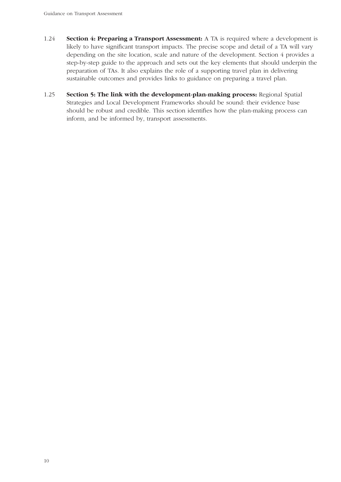- 1.24 **Section 4: Preparing a Transport Assessment:** A TA is required where a development is likely to have significant transport impacts. The precise scope and detail of a TA will vary depending on the site location, scale and nature of the development. Section 4 provides a step-by-step guide to the approach and sets out the key elements that should underpin the preparation of TAs. It also explains the role of a supporting travel plan in delivering sustainable outcomes and provides links to guidance on preparing a travel plan.
- 1.25 **Section 5: The link with the development-plan-making process:** Regional Spatial Strategies and Local Development Frameworks should be sound: their evidence base should be robust and credible. This section identifies how the plan-making process can inform, and be informed by, transport assessments.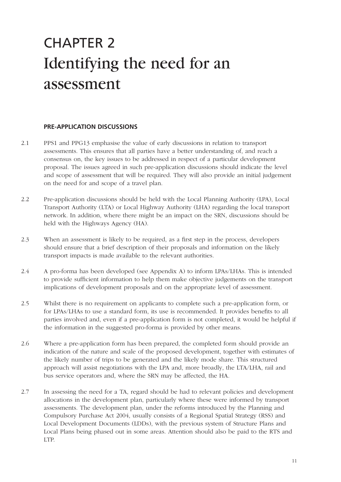## CHAPTER 2 Identifying the need for an assessment

#### **PRE-APPLICATION DISCUSSIONS**

- 2.1 PPS1 and PPG13 emphasise the value of early discussions in relation to transport assessments. This ensures that all parties have a better understanding of, and reach a consensus on, the key issues to be addressed in respect of a particular development proposal. The issues agreed in such pre-application discussions should indicate the level and scope of assessment that will be required. They will also provide an initial judgement on the need for and scope of a travel plan.
- 2.2 Pre-application discussions should be held with the Local Planning Authority (LPA), Local Transport Authority (LTA) or Local Highway Authority (LHA) regarding the local transport network. In addition, where there might be an impact on the SRN, discussions should be held with the Highways Agency (HA).
- 2.3 When an assessment is likely to be required, as a first step in the process, developers should ensure that a brief description of their proposals and information on the likely transport impacts is made available to the relevant authorities.
- 2.4 A pro-forma has been developed (see Appendix A) to inform LPAs/LHAs. This is intended to provide sufficient information to help them make objective judgements on the transport implications of development proposals and on the appropriate level of assessment.
- 2.5 Whilst there is no requirement on applicants to complete such a pre-application form, or for LPAs/LHAs to use a standard form, its use is recommended. It provides benefits to all parties involved and, even if a pre-application form is not completed, it would be helpful if the information in the suggested pro-forma is provided by other means.
- 2.6 Where a pre-application form has been prepared, the completed form should provide an indication of the nature and scale of the proposed development, together with estimates of the likely number of trips to be generated and the likely mode share. This structured approach will assist negotiations with the LPA and, more broadly, the LTA/LHA, rail and bus service operators and, where the SRN may be affected, the HA.
- 2.7 In assessing the need for a TA, regard should be had to relevant policies and development allocations in the development plan, particularly where these were informed by transport assessments. The development plan, under the reforms introduced by the Planning and Compulsory Purchase Act 2004, usually consists of a Regional Spatial Strategy (RSS) and Local Development Documents (LDDs), with the previous system of Structure Plans and Local Plans being phased out in some areas. Attention should also be paid to the RTS and LTP.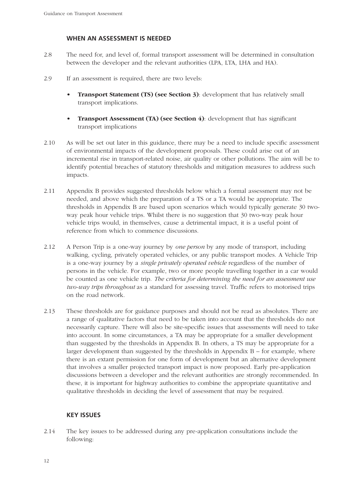#### **WHEN AN ASSESSMENT IS NEEDED**

- 2.8 The need for, and level of, formal transport assessment will be determined in consultation between the developer and the relevant authorities (LPA, LTA, LHA and HA).
- 2.9 If an assessment is required, there are two levels:
	- **Transport Statement (TS) (see Section 3)**: development that has relatively small transport implications.
	- **Transport Assessment (TA) (see Section 4)**: development that has significant transport implications
- 2.10 As will be set out later in this guidance, there may be a need to include specific assessment of environmental impacts of the development proposals. These could arise out of an incremental rise in transport-related noise, air quality or other pollutions. The aim will be to identify potential breaches of statutory thresholds and mitigation measures to address such impacts.
- 2.11 Appendix B provides suggested thresholds below which a formal assessment may not be needed, and above which the preparation of a TS or a TA would be appropriate. The thresholds in Appendix B are based upon scenarios which would typically generate 30 twoway peak hour vehicle trips. Whilst there is no suggestion that 30 two-way peak hour vehicle trips would, in themselves, cause a detrimental impact, it is a useful point of reference from which to commence discussions.
- 2.12 A Person Trip is a one-way journey by *one person* by any mode of transport, including walking, cycling, privately operated vehicles, or any public transport modes. A Vehicle Trip is a one-way journey by a *single privately operated vehicle* regardless of the number of persons in the vehicle. For example, two or more people travelling together in a car would be counted as one vehicle trip. *The criteria for determining the need for an assessment use two-way trips throughout* as a standard for assessing travel. Traffic refers to motorised trips on the road network.
- 2.13 These thresholds are for guidance purposes and should not be read as absolutes. There are a range of qualitative factors that need to be taken into account that the thresholds do not necessarily capture. There will also be site-specific issues that assessments will need to take into account. In some circumstances, a TA may be appropriate for a smaller development than suggested by the thresholds in Appendix B. In others, a TS may be appropriate for a larger development than suggested by the thresholds in Appendix B – for example, where there is an extant permission for one form of development but an alternative development that involves a smaller projected transport impact is now proposed. Early pre-application discussions between a developer and the relevant authorities are strongly recommended. In these, it is important for highway authorities to combine the appropriate quantitative and qualitative thresholds in deciding the level of assessment that may be required.

#### **KEY ISSUES**

2.14 The key issues to be addressed during any pre-application consultations include the following: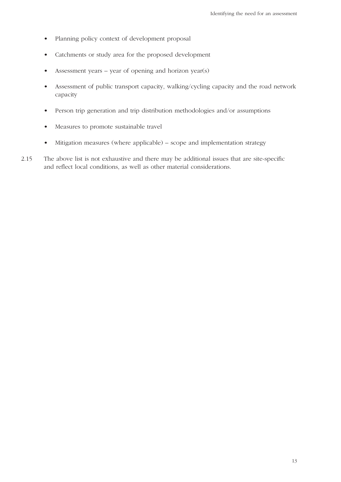- Planning policy context of development proposal
- Catchments or study area for the proposed development
- Assessment years year of opening and horizon year(s)
- Assessment of public transport capacity, walking/cycling capacity and the road network capacity
- Person trip generation and trip distribution methodologies and/or assumptions
- Measures to promote sustainable travel
- Mitigation measures (where applicable) scope and implementation strategy
- 2.15 The above list is not exhaustive and there may be additional issues that are site-specific and reflect local conditions, as well as other material considerations.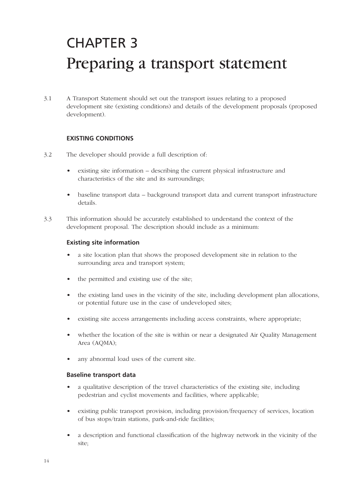# CHAPTER 3 Preparing a transport statement

3.1 A Transport Statement should set out the transport issues relating to a proposed development site (existing conditions) and details of the development proposals (proposed development).

#### **EXISTING CONDITIONS**

- 3.2 The developer should provide a full description of:
	- existing site information describing the current physical infrastructure and characteristics of the site and its surroundings;
	- baseline transport data background transport data and current transport infrastructure details.
- 3.3 This information should be accurately established to understand the context of the development proposal. The description should include as a minimum:

#### **Existing site information**

- a site location plan that shows the proposed development site in relation to the surrounding area and transport system;
- the permitted and existing use of the site;
- the existing land uses in the vicinity of the site, including development plan allocations, or potential future use in the case of undeveloped sites;
- existing site access arrangements including access constraints, where appropriate;
- whether the location of the site is within or near a designated Air Quality Management Area (AQMA);
- any abnormal load uses of the current site.

#### **Baseline transport data**

- a qualitative description of the travel characteristics of the existing site, including pedestrian and cyclist movements and facilities, where applicable;
- existing public transport provision, including provision/frequency of services, location of bus stops/train stations, park-and-ride facilities;
- a description and functional classification of the highway network in the vicinity of the site;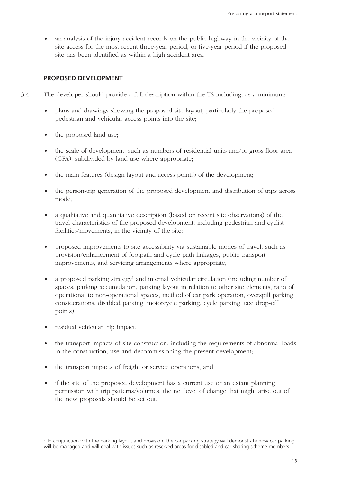• an analysis of the injury accident records on the public highway in the vicinity of the site access for the most recent three-year period, or five-year period if the proposed site has been identified as within a high accident area.

#### **PROPOSED DEVELOPMENT**

- 3.4 The developer should provide a full description within the TS including, as a minimum:
	- plans and drawings showing the proposed site layout, particularly the proposed pedestrian and vehicular access points into the site;
	- the proposed land use;
	- the scale of development, such as numbers of residential units and/or gross floor area (GFA), subdivided by land use where appropriate;
	- the main features (design layout and access points) of the development;
	- the person-trip generation of the proposed development and distribution of trips across mode;
	- a qualitative and quantitative description (based on recent site observations) of the travel characteristics of the proposed development, including pedestrian and cyclist facilities/movements, in the vicinity of the site;
	- proposed improvements to site accessibility via sustainable modes of travel, such as provision/enhancement of footpath and cycle path linkages, public transport improvements, and servicing arrangements where appropriate;
	- a proposed parking strategy<sup>1</sup> and internal vehicular circulation (including number of spaces, parking accumulation, parking layout in relation to other site elements, ratio of operational to non-operational spaces, method of car park operation, overspill parking considerations, disabled parking, motorcycle parking, cycle parking, taxi drop-off points);
	- residual vehicular trip impact;
	- the transport impacts of site construction, including the requirements of abnormal loads in the construction, use and decommissioning the present development;
	- the transport impacts of freight or service operations; and
	- if the site of the proposed development has a current use or an extant planning permission with trip patterns/volumes, the net level of change that might arise out of the new proposals should be set out.

<sup>1</sup> In conjunction with the parking layout and provision, the car parking strategy will demonstrate how car parking will be managed and will deal with issues such as reserved areas for disabled and car sharing scheme members.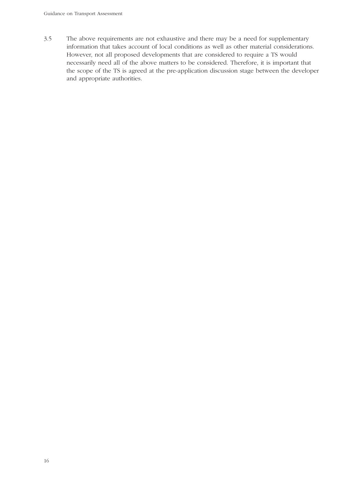3.5 The above requirements are not exhaustive and there may be a need for supplementary information that takes account of local conditions as well as other material considerations. However, not all proposed developments that are considered to require a TS would necessarily need all of the above matters to be considered. Therefore, it is important that the scope of the TS is agreed at the pre-application discussion stage between the developer and appropriate authorities.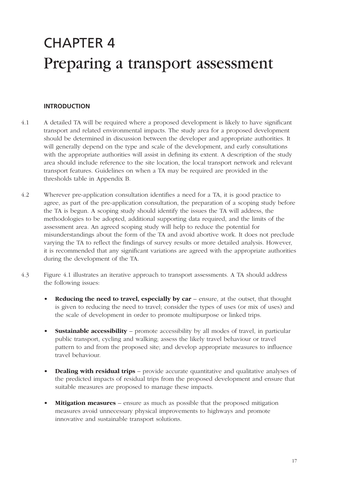## CHAPTER 4 Preparing a transport assessment

#### **INTRODUCTION**

- 4.1 A detailed TA will be required where a proposed development is likely to have significant transport and related environmental impacts. The study area for a proposed development should be determined in discussion between the developer and appropriate authorities. It will generally depend on the type and scale of the development, and early consultations with the appropriate authorities will assist in defining its extent. A description of the study area should include reference to the site location, the local transport network and relevant transport features. Guidelines on when a TA may be required are provided in the thresholds table in Appendix B.
- 4.2 Wherever pre-application consultation identifies a need for a TA, it is good practice to agree, as part of the pre-application consultation, the preparation of a scoping study before the TA is begun. A scoping study should identify the issues the TA will address, the methodologies to be adopted, additional supporting data required, and the limits of the assessment area. An agreed scoping study will help to reduce the potential for misunderstandings about the form of the TA and avoid abortive work. It does not preclude varying the TA to reflect the findings of survey results or more detailed analysis. However, it is recommended that any significant variations are agreed with the appropriate authorities during the development of the TA.
- 4.3 Figure 4.1 illustrates an iterative approach to transport assessments. A TA should address the following issues:
	- **Reducing the need to travel, especially by car** ensure, at the outset, that thought is given to reducing the need to travel; consider the types of uses (or mix of uses) and the scale of development in order to promote multipurpose or linked trips.
	- **Sustainable accessibility** promote accessibility by all modes of travel, in particular public transport, cycling and walking; assess the likely travel behaviour or travel pattern to and from the proposed site; and develop appropriate measures to influence travel behaviour.
	- **Dealing with residual trips** provide accurate quantitative and qualitative analyses of the predicted impacts of residual trips from the proposed development and ensure that suitable measures are proposed to manage these impacts.
	- **Mitigation measures** ensure as much as possible that the proposed mitigation measures avoid unnecessary physical improvements to highways and promote innovative and sustainable transport solutions.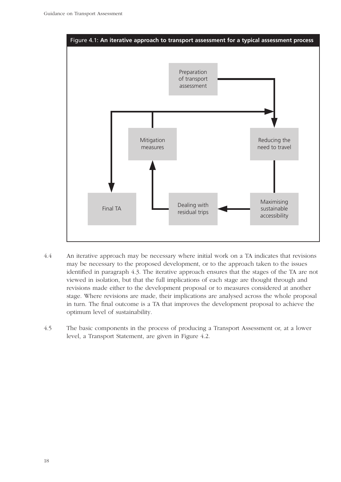

- 4.4 An iterative approach may be necessary where initial work on a TA indicates that revisions may be necessary to the proposed development, or to the approach taken to the issues identified in paragraph 4.3. The iterative approach ensures that the stages of the TA are not viewed in isolation, but that the full implications of each stage are thought through and revisions made either to the development proposal or to measures considered at another stage. Where revisions are made, their implications are analysed across the whole proposal in turn. The final outcome is a TA that improves the development proposal to achieve the optimum level of sustainability.
- 4.5 The basic components in the process of producing a Transport Assessment or, at a lower level, a Transport Statement, are given in Figure 4.2.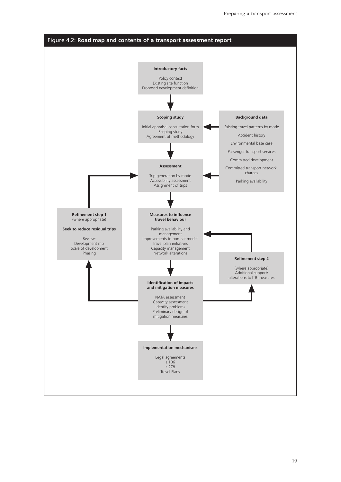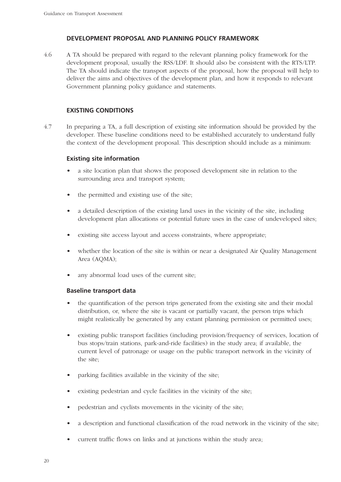#### **DEVELOPMENT PROPOSAL AND PLANNING POLICY FRAMEWORK**

4.6 A TA should be prepared with regard to the relevant planning policy framework for the development proposal, usually the RSS/LDF. It should also be consistent with the RTS/LTP. The TA should indicate the transport aspects of the proposal, how the proposal will help to deliver the aims and objectives of the development plan, and how it responds to relevant Government planning policy guidance and statements.

#### **EXISTING CONDITIONS**

4.7 In preparing a TA, a full description of existing site information should be provided by the developer. These baseline conditions need to be established accurately to understand fully the context of the development proposal. This description should include as a minimum:

#### **Existing site information**

- a site location plan that shows the proposed development site in relation to the surrounding area and transport system;
- the permitted and existing use of the site;
- a detailed description of the existing land uses in the vicinity of the site, including development plan allocations or potential future uses in the case of undeveloped sites;
- existing site access layout and access constraints, where appropriate;
- whether the location of the site is within or near a designated Air Quality Management Area (AQMA);
- any abnormal load uses of the current site:

#### **Baseline transport data**

- the quantification of the person trips generated from the existing site and their modal distribution, or, where the site is vacant or partially vacant, the person trips which might realistically be generated by any extant planning permission or permitted uses;
- existing public transport facilities (including provision/frequency of services, location of bus stops/train stations, park-and-ride facilities) in the study area; if available, the current level of patronage or usage on the public transport network in the vicinity of the site;
- parking facilities available in the vicinity of the site;
- existing pedestrian and cycle facilities in the vicinity of the site;
- pedestrian and cyclists movements in the vicinity of the site;
- a description and functional classification of the road network in the vicinity of the site;
- current traffic flows on links and at junctions within the study area;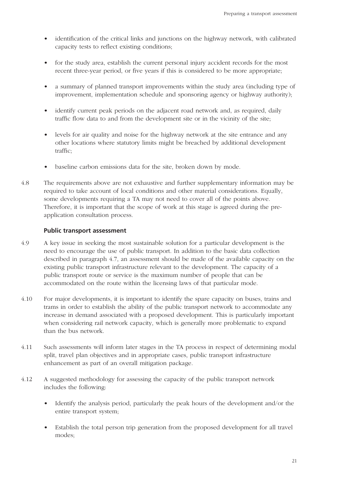- identification of the critical links and junctions on the highway network, with calibrated capacity tests to reflect existing conditions;
- for the study area, establish the current personal injury accident records for the most recent three-year period, or five years if this is considered to be more appropriate;
- a summary of planned transport improvements within the study area (including type of improvement, implementation schedule and sponsoring agency or highway authority);
- identify current peak periods on the adjacent road network and, as required, daily traffic flow data to and from the development site or in the vicinity of the site;
- levels for air quality and noise for the highway network at the site entrance and any other locations where statutory limits might be breached by additional development traffic;
- baseline carbon emissions data for the site, broken down by mode.
- 4.8 The requirements above are not exhaustive and further supplementary information may be required to take account of local conditions and other material considerations. Equally, some developments requiring a TA may not need to cover all of the points above. Therefore, it is important that the scope of work at this stage is agreed during the preapplication consultation process.

#### **Public transport assessment**

- 4.9 A key issue in seeking the most sustainable solution for a particular development is the need to encourage the use of public transport. In addition to the basic data collection described in paragraph 4.7, an assessment should be made of the available capacity on the existing public transport infrastructure relevant to the development. The capacity of a public transport route or service is the maximum number of people that can be accommodated on the route within the licensing laws of that particular mode.
- 4.10 For major developments, it is important to identify the spare capacity on buses, trains and trams in order to establish the ability of the public transport network to accommodate any increase in demand associated with a proposed development. This is particularly important when considering rail network capacity, which is generally more problematic to expand than the bus network.
- 4.11 Such assessments will inform later stages in the TA process in respect of determining modal split, travel plan objectives and in appropriate cases, public transport infrastructure enhancement as part of an overall mitigation package.
- 4.12 A suggested methodology for assessing the capacity of the public transport network includes the following:
	- Identify the analysis period, particularly the peak hours of the development and/or the entire transport system;
	- Establish the total person trip generation from the proposed development for all travel modes;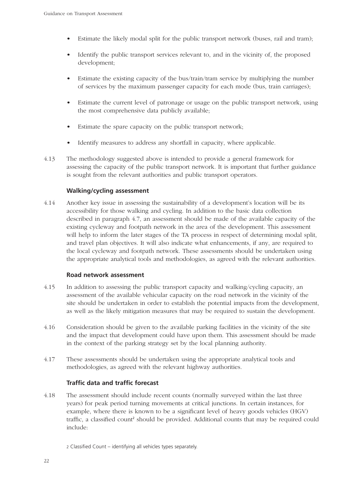- Estimate the likely modal split for the public transport network (buses, rail and tram);
- Identify the public transport services relevant to, and in the vicinity of, the proposed development;
- Estimate the existing capacity of the bus/train/tram service by multiplying the number of services by the maximum passenger capacity for each mode (bus, train carriages);
- Estimate the current level of patronage or usage on the public transport network, using the most comprehensive data publicly available;
- Estimate the spare capacity on the public transport network;
- Identify measures to address any shortfall in capacity, where applicable.
- 4.13 The methodology suggested above is intended to provide a general framework for assessing the capacity of the public transport network. It is important that further guidance is sought from the relevant authorities and public transport operators.

#### **Walking/cycling assessment**

4.14 Another key issue in assessing the sustainability of a development's location will be its accessibility for those walking and cycling. In addition to the basic data collection described in paragraph 4.7, an assessment should be made of the available capacity of the existing cycleway and footpath network in the area of the development. This assessment will help to inform the later stages of the TA process in respect of determining modal split, and travel plan objectives. It will also indicate what enhancements, if any, are required to the local cycleway and footpath network. These assessments should be undertaken using the appropriate analytical tools and methodologies, as agreed with the relevant authorities.

#### **Road network assessment**

- 4.15 In addition to assessing the public transport capacity and walking/cycling capacity, an assessment of the available vehicular capacity on the road network in the vicinity of the site should be undertaken in order to establish the potential impacts from the development, as well as the likely mitigation measures that may be required to sustain the development.
- 4.16 Consideration should be given to the available parking facilities in the vicinity of the site and the impact that development could have upon them. This assessment should be made in the context of the parking strategy set by the local planning authority.
- 4.17 These assessments should be undertaken using the appropriate analytical tools and methodologies, as agreed with the relevant highway authorities.

#### **Traffic data and traffic forecast**

4.18 The assessment should include recent counts (normally surveyed within the last three years) for peak period turning movements at critical junctions. In certain instances, for example, where there is known to be a significant level of heavy goods vehicles (HGV) traffic, a classified count <sup>2</sup> should be provided. Additional counts that may be required could include:

<sup>2</sup> Classified Count – identifying all vehicles types separately.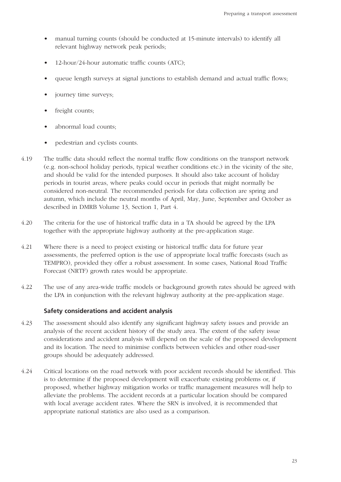- manual turning counts (should be conducted at 15-minute intervals) to identify all relevant highway network peak periods;
- 12-hour/24-hour automatic traffic counts (ATC);
- queue length surveys at signal junctions to establish demand and actual traffic flows;
- journey time surveys;
- freight counts;
- abnormal load counts;
- pedestrian and cyclists counts.
- 4.19 The traffic data should reflect the normal traffic flow conditions on the transport network (e.g. non-school holiday periods, typical weather conditions etc.) in the vicinity of the site, and should be valid for the intended purposes. It should also take account of holiday periods in tourist areas, where peaks could occur in periods that might normally be considered non-neutral. The recommended periods for data collection are spring and autumn, which include the neutral months of April, May, June, September and October as described in DMRB Volume 13, Section 1, Part 4.
- 4.20 The criteria for the use of historical traffic data in a TA should be agreed by the LPA together with the appropriate highway authority at the pre-application stage.
- 4.21 Where there is a need to project existing or historical traffic data for future year assessments, the preferred option is the use of appropriate local traffic forecasts (such as TEMPRO), provided they offer a robust assessment. In some cases, National Road Traffic Forecast (NRTF) growth rates would be appropriate.
- 4.22 The use of any area-wide traffic models or background growth rates should be agreed with the LPA in conjunction with the relevant highway authority at the pre-application stage.

#### **Safety considerations and accident analysis**

- 4.23 The assessment should also identify any significant highway safety issues and provide an analysis of the recent accident history of the study area. The extent of the safety issue considerations and accident analysis will depend on the scale of the proposed development and its location. The need to minimise conflicts between vehicles and other road-user groups should be adequately addressed.
- 4.24 Critical locations on the road network with poor accident records should be identified. This is to determine if the proposed development will exacerbate existing problems or, if proposed, whether highway mitigation works or traffic management measures will help to alleviate the problems. The accident records at a particular location should be compared with local average accident rates. Where the SRN is involved, it is recommended that appropriate national statistics are also used as a comparison.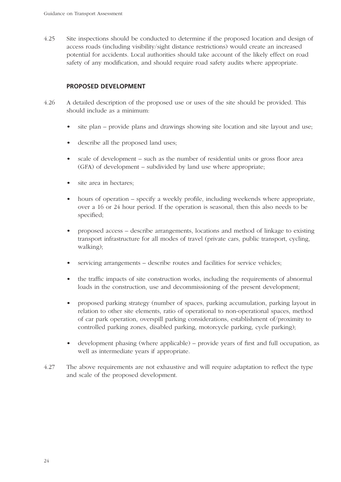4.25 Site inspections should be conducted to determine if the proposed location and design of access roads (including visibility/sight distance restrictions) would create an increased potential for accidents. Local authorities should take account of the likely effect on road safety of any modification, and should require road safety audits where appropriate.

#### **PROPOSED DEVELOPMENT**

- 4.26 A detailed description of the proposed use or uses of the site should be provided. This should include as a minimum:
	- site plan provide plans and drawings showing site location and site layout and use;
	- describe all the proposed land uses:
	- scale of development such as the number of residential units or gross floor area (GFA) of development – subdivided by land use where appropriate;
	- site area in hectares;
	- hours of operation specify a weekly profile, including weekends where appropriate, over a 16 or 24 hour period. If the operation is seasonal, then this also needs to be specified;
	- proposed access describe arrangements, locations and method of linkage to existing transport infrastructure for all modes of travel (private cars, public transport, cycling, walking);
	- servicing arrangements describe routes and facilities for service vehicles;
	- the traffic impacts of site construction works, including the requirements of abnormal loads in the construction, use and decommissioning of the present development;
	- proposed parking strategy (number of spaces, parking accumulation, parking layout in relation to other site elements, ratio of operational to non-operational spaces, method of car park operation, overspill parking considerations, establishment of/proximity to controlled parking zones, disabled parking, motorcycle parking, cycle parking);
	- development phasing (where applicable) provide years of first and full occupation, as well as intermediate years if appropriate.
- 4.27 The above requirements are not exhaustive and will require adaptation to reflect the type and scale of the proposed development.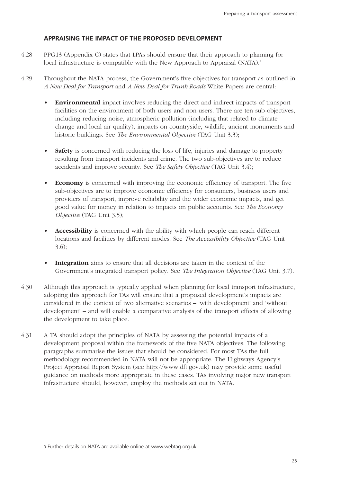#### **APPRAISING THE IMPACT OF THE PROPOSED DEVELOPMENT**

- 4.28 PPG13 (Appendix C) states that LPAs should ensure that their approach to planning for local infrastructure is compatible with the New Approach to Appraisal (NATA).<sup>3</sup>
- 4.29 Throughout the NATA process, the Government's five objectives for transport as outlined in *A New Deal for Transport* and *A New Deal for Trunk Roads* White Papers are central:
	- **Environmental** impact involves reducing the direct and indirect impacts of transport facilities on the environment of both users and non-users. There are ten sub-objectives, including reducing noise, atmospheric pollution (including that related to climate change and local air quality), impacts on countryside, wildlife, ancient monuments and historic buildings. See *The Environmental Objective* (TAG Unit 3.3);
	- **Safety** is concerned with reducing the loss of life, injuries and damage to property resulting from transport incidents and crime. The two sub-objectives are to reduce accidents and improve security. See *The Safety Objective* (TAG Unit 3.4);
	- **Economy** is concerned with improving the economic efficiency of transport. The five sub-objectives are to improve economic efficiency for consumers, business users and providers of transport, improve reliability and the wider economic impacts, and get good value for money in relation to impacts on public accounts. See *The Economy Objective* (TAG Unit 3.5);
	- **Accessibility** is concerned with the ability with which people can reach different locations and facilities by different modes. See *The Accessibility Objective* (TAG Unit 3.6);
	- **Integration** aims to ensure that all decisions are taken in the context of the Government's integrated transport policy. See *The Integration Objective* (TAG Unit 3.7).
- 4.30 Although this approach is typically applied when planning for local transport infrastructure, adopting this approach for TAs will ensure that a proposed development's impacts are considered in the context of two alternative scenarios – 'with development' and 'without development' – and will enable a comparative analysis of the transport effects of allowing the development to take place.
- 4.31 A TA should adopt the principles of NATA by assessing the potential impacts of a development proposal within the framework of the five NATA objectives. The following paragraphs summarise the issues that should be considered. For most TAs the full methodology recommended in NATA will not be appropriate. The Highways Agency's Project Appraisal Report System (see http://www.dft.gov.uk) may provide some useful guidance on methods more appropriate in these cases. TAs involving major new transport infrastructure should, however, employ the methods set out in NATA.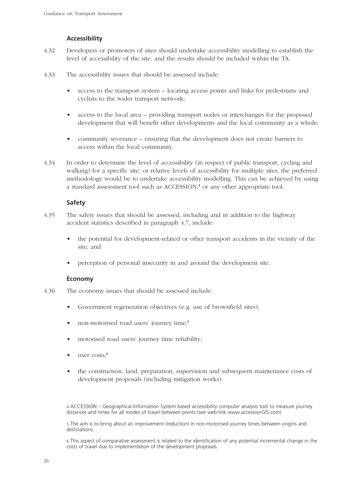#### **Accessibility**

- 4.32 Developers or promoters of sites should undertake accessibility modelling to establish the level of accessibility of the site, and the results should be included within the TA.
- 4.33 The accessibility issues that should be assessed include:
	- access to the transport system locating access points and links for pedestrians and cyclists to the wider transport network;
	- access to the local area providing transport nodes or interchanges for the proposed development that will benefit other developments and the local community as a whole;
	- community severance ensuring that the development does not create barriers to access within the local community.
- 4.34 In order to determine the level of accessibility (in respect of public transport, cycling and walking) for a specific site, or relative levels of accessibility for multiple sites, the preferred methodology would be to undertake accessibility modelling. This can be achieved by using a standard assessment tool such as ACCESSION, <sup>4</sup> or any other appropriate tool.

#### **Safety**

- 4.35 The safety issues that should be assessed, including and in addition to the highway accident statistics described in paragraph 4.7, include:
	- the potential for development-related or other transport accidents in the vicinity of the site; and
	- perception of personal insecurity in and around the development site.

#### **Economy**

- 4.36 The economy issues that should be assessed include:
	- Government regeneration objectives (e.g. use of brownfield sites);
	- non-motorised road users' journey time:<sup>5</sup>
	- motorised road users' journey time reliability;
	- user costs:<sup>6</sup>
	- the construction, land, preparation, supervision and subsequent maintenance costs of development proposals (including mitigation works).

4 ACCESSION – Geographical Information System based accessibility computer analysis tool to measure journey distances and times for all modes of travel between points (see web-link www.accessionGIS.com)

5 The aim is to bring about an improvement (reduction) in non-motorised journey times between origins and destinations.

6 This aspect of comparative assessment is related to the identification of any potential incremental change in the costs of travel due to implementation of the development proposals.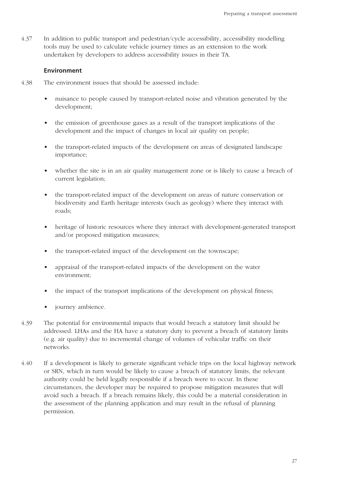4.37 In addition to public transport and pedestrian/cycle accessibility, accessibility modelling tools may be used to calculate vehicle journey times as an extension to the work undertaken by developers to address accessibility issues in their TA.

#### **Environment**

- 4.38 The environment issues that should be assessed include:
	- nuisance to people caused by transport-related noise and vibration generated by the development;
	- the emission of greenhouse gases as a result of the transport implications of the development and the impact of changes in local air quality on people;
	- the transport-related impacts of the development on areas of designated landscape importance;
	- whether the site is in an air quality management zone or is likely to cause a breach of current legislation;
	- the transport-related impact of the development on areas of nature conservation or biodiversity and Earth heritage interests (such as geology) where they interact with roads;
	- heritage of historic resources where they interact with development-generated transport and/or proposed mitigation measures;
	- the transport-related impact of the development on the townscape;
	- appraisal of the transport-related impacts of the development on the water environment;
	- the impact of the transport implications of the development on physical fitness;
	- journey ambience.
- 4.39 The potential for environmental impacts that would breach a statutory limit should be addressed. LHAs and the HA have a statutory duty to prevent a breach of statutory limits (e.g. air quality) due to incremental change of volumes of vehicular traffic on their networks.
- 4.40 If a development is likely to generate significant vehicle trips on the local highway network or SRN, which in turn would be likely to cause a breach of statutory limits, the relevant authority could be held legally responsible if a breach were to occur. In these circumstances, the developer may be required to propose mitigation measures that will avoid such a breach. If a breach remains likely, this could be a material consideration in the assessment of the planning application and may result in the refusal of planning permission.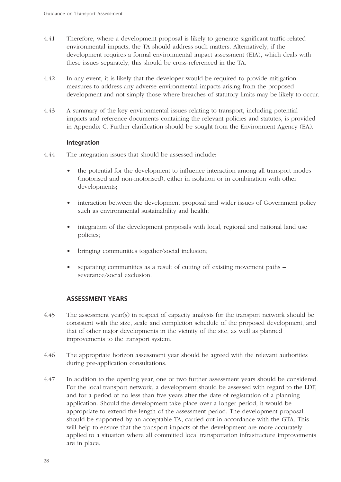- 4.41 Therefore, where a development proposal is likely to generate significant traffic-related environmental impacts, the TA should address such matters. Alternatively, if the development requires a formal environmental impact assessment (EIA), which deals with these issues separately, this should be cross-referenced in the TA.
- 4.42 In any event, it is likely that the developer would be required to provide mitigation measures to address any adverse environmental impacts arising from the proposed development and not simply those where breaches of statutory limits may be likely to occur.
- 4.43 A summary of the key environmental issues relating to transport, including potential impacts and reference documents containing the relevant policies and statutes, is provided in Appendix C. Further clarification should be sought from the Environment Agency (EA).

#### **Integration**

- 4.44 The integration issues that should be assessed include:
	- the potential for the development to influence interaction among all transport modes (motorised and non-motorised), either in isolation or in combination with other developments;
	- interaction between the development proposal and wider issues of Government policy such as environmental sustainability and health;
	- integration of the development proposals with local, regional and national land use policies;
	- bringing communities together/social inclusion;
	- separating communities as a result of cutting off existing movement paths severance/social exclusion.

#### **ASSESSMENT YEARS**

- 4.45 The assessment year(s) in respect of capacity analysis for the transport network should be consistent with the size, scale and completion schedule of the proposed development, and that of other major developments in the vicinity of the site, as well as planned improvements to the transport system.
- 4.46 The appropriate horizon assessment year should be agreed with the relevant authorities during pre-application consultations.
- 4.47 In addition to the opening year, one or two further assessment years should be considered. For the local transport network, a development should be assessed with regard to the LDF, and for a period of no less than five years after the date of registration of a planning application. Should the development take place over a longer period, it would be appropriate to extend the length of the assessment period. The development proposal should be supported by an acceptable TA, carried out in accordance with the GTA. This will help to ensure that the transport impacts of the development are more accurately applied to a situation where all committed local transportation infrastructure improvements are in place.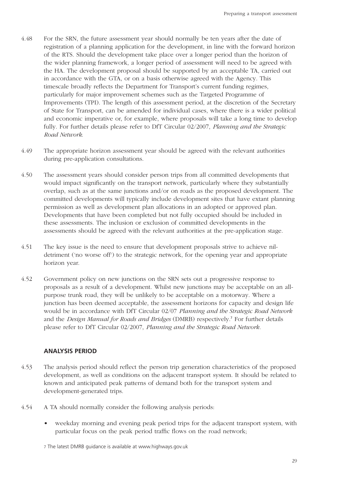- 4.48 For the SRN, the future assessment year should normally be ten years after the date of registration of a planning application for the development, in line with the forward horizon of the RTS. Should the development take place over a longer period than the horizon of the wider planning framework, a longer period of assessment will need to be agreed with the HA. The development proposal should be supported by an acceptable TA, carried out in accordance with the GTA, or on a basis otherwise agreed with the Agency. This timescale broadly reflects the Department for Transport's current funding regimes, particularly for major improvement schemes such as the Targeted Programme of Improvements (TPI). The length of this assessment period, at the discretion of the Secretary of State for Transport, can be amended for individual cases, where there is a wider political and economic imperative or, for example, where proposals will take a long time to develop fully. For further details please refer to DfT Circular 02/2007, *Planning and the Strategic Road Network*.
- 4.49 The appropriate horizon assessment year should be agreed with the relevant authorities during pre-application consultations.
- 4.50 The assessment years should consider person trips from all committed developments that would impact significantly on the transport network, particularly where they substantially overlap, such as at the same junctions and/or on roads as the proposed development. The committed developments will typically include development sites that have extant planning permission as well as development plan allocations in an adopted or approved plan. Developments that have been completed but not fully occupied should be included in these assessments. The inclusion or exclusion of committed developments in the assessments should be agreed with the relevant authorities at the pre-application stage.
- 4.51 The key issue is the need to ensure that development proposals strive to achieve nildetriment ('no worse off') to the strategic network, for the opening year and appropriate horizon year.
- 4.52 Government policy on new junctions on the SRN sets out a progressive response to proposals as a result of a development. Whilst new junctions may be acceptable on an allpurpose trunk road, they will be unlikely to be acceptable on a motorway. Where a junction has been deemed acceptable, the assessment horizons for capacity and design life would be in accordance with DfT Circular 02/07 *Planning and the Strategic Road Network* and the *Design Manual for Roads and Bridges* (DMRB) respectively. <sup>7</sup> For further details please refer to DfT Circular 02/2007, *Planning and the Strategic Road Network.*

#### **ANALYSIS PERIOD**

- 4.53 The analysis period should reflect the person trip generation characteristics of the proposed development, as well as conditions on the adjacent transport system. It should be related to known and anticipated peak patterns of demand both for the transport system and development-generated trips.
- 4.54 A TA should normally consider the following analysis periods:
	- weekday morning and evening peak period trips for the adjacent transport system, with particular focus on the peak period traffic flows on the road network;
	- 7 The latest DMRB guidance is available at www.highways.gov.uk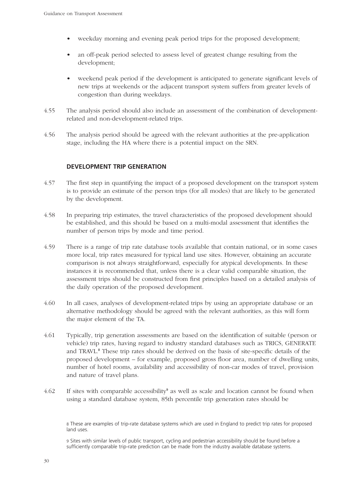- weekday morning and evening peak period trips for the proposed development;
- an off-peak period selected to assess level of greatest change resulting from the development;
- weekend peak period if the development is anticipated to generate significant levels of new trips at weekends or the adjacent transport system suffers from greater levels of congestion than during weekdays.
- 4.55 The analysis period should also include an assessment of the combination of developmentrelated and non-development-related trips.
- 4.56 The analysis period should be agreed with the relevant authorities at the pre-application stage, including the HA where there is a potential impact on the SRN.

#### **DEVELOPMENT TRIP GENERATION**

- 4.57 The first step in quantifying the impact of a proposed development on the transport system is to provide an estimate of the person trips (for all modes) that are likely to be generated by the development.
- 4.58 In preparing trip estimates, the travel characteristics of the proposed development should be established, and this should be based on a multi-modal assessment that identifies the number of person trips by mode and time period.
- 4.59 There is a range of trip rate database tools available that contain national, or in some cases more local, trip rates measured for typical land use sites. However, obtaining an accurate comparison is not always straightforward, especially for atypical developments. In these instances it is recommended that, unless there is a clear valid comparable situation, the assessment trips should be constructed from first principles based on a detailed analysis of the daily operation of the proposed development.
- 4.60 In all cases, analyses of development-related trips by using an appropriate database or an alternative methodology should be agreed with the relevant authorities, as this will form the major element of the TA.
- 4.61 Typically, trip generation assessments are based on the identification of suitable (person or vehicle) trip rates, having regard to industry standard databases such as TRICS, GENERATE and TRAVL. <sup>8</sup> These trip rates should be derived on the basis of site-specific details of the proposed development – for example, proposed gross floor area, number of dwelling units, number of hotel rooms, availability and accessibility of non-car modes of travel, provision and nature of travel plans.
- 4.62 If sites with comparable accessibility<sup>9</sup> as well as scale and location cannot be found when using a standard database system, 85th percentile trip generation rates should be

8 These are examples of trip-rate database systems which are used in England to predict trip rates for proposed land uses.

9 Sites with similar levels of public transport, cycling and pedestrian accessibility should be found before a sufficiently comparable trip-rate prediction can be made from the industry available database systems.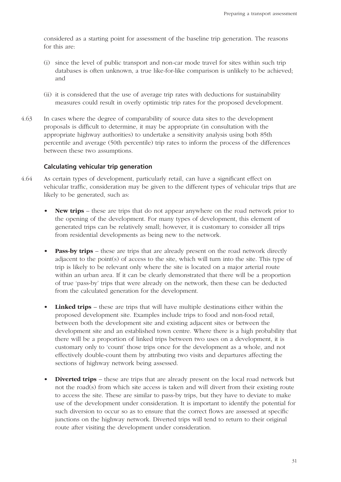considered as a starting point for assessment of the baseline trip generation. The reasons for this are:

- (i) since the level of public transport and non-car mode travel for sites within such trip databases is often unknown, a true like-for-like comparison is unlikely to be achieved; and
- (ii) it is considered that the use of average trip rates with deductions for sustainability measures could result in overly optimistic trip rates for the proposed development.
- 4.63 In cases where the degree of comparability of source data sites to the development proposals is difficult to determine, it may be appropriate (in consultation with the appropriate highway authorities) to undertake a sensitivity analysis using both 85th percentile and average (50th percentile) trip rates to inform the process of the differences between these two assumptions.

#### **Calculating vehicular trip generation**

- 4.64 As certain types of development, particularly retail, can have a significant effect on vehicular traffic, consideration may be given to the different types of vehicular trips that are likely to be generated, such as:
	- **New trips** these are trips that do not appear anywhere on the road network prior to the opening of the development. For many types of development, this element of generated trips can be relatively small; however, it is customary to consider all trips from residential developments as being new to the network.
	- **Pass-by trips** these are trips that are already present on the road network directly adjacent to the point(s) of access to the site, which will turn into the site. This type of trip is likely to be relevant only where the site is located on a major arterial route within an urban area. If it can be clearly demonstrated that there will be a proportion of true 'pass-by' trips that were already on the network, then these can be deducted from the calculated generation for the development.
	- **Linked trips** these are trips that will have multiple destinations either within the proposed development site. Examples include trips to food and non-food retail, between both the development site and existing adjacent sites or between the development site and an established town centre. Where there is a high probability that there will be a proportion of linked trips between two uses on a development, it is customary only to 'count' those trips once for the development as a whole, and not effectively double-count them by attributing two visits and departures affecting the sections of highway network being assessed.
	- **Diverted trips** these are trips that are already present on the local road network but not the road(s) from which site access is taken and will divert from their existing route to access the site. These are similar to pass-by trips, but they have to deviate to make use of the development under consideration. It is important to identify the potential for such diversion to occur so as to ensure that the correct flows are assessed at specific junctions on the highway network. Diverted trips will tend to return to their original route after visiting the development under consideration.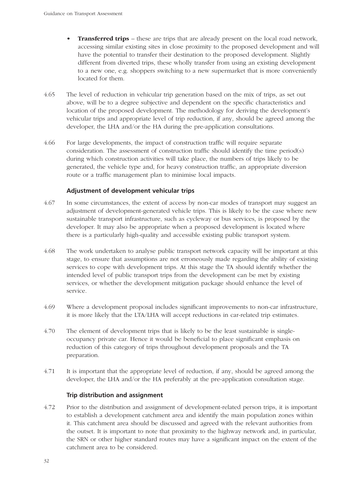- **Transferred trips** these are trips that are already present on the local road network, accessing similar existing sites in close proximity to the proposed development and will have the potential to transfer their destination to the proposed development. Slightly different from diverted trips, these wholly transfer from using an existing development to a new one, e.g. shoppers switching to a new supermarket that is more conveniently located for them.
- 4.65 The level of reduction in vehicular trip generation based on the mix of trips, as set out above, will be to a degree subjective and dependent on the specific characteristics and location of the proposed development. The methodology for deriving the development's vehicular trips and appropriate level of trip reduction, if any, should be agreed among the developer, the LHA and/or the HA during the pre-application consultations.
- 4.66 For large developments, the impact of construction traffic will require separate consideration. The assessment of construction traffic should identify the time period(s) during which construction activities will take place, the numbers of trips likely to be generated, the vehicle type and, for heavy construction traffic, an appropriate diversion route or a traffic management plan to minimise local impacts.

#### **Adjustment of development vehicular trips**

- 4.67 In some circumstances, the extent of access by non-car modes of transport may suggest an adjustment of development-generated vehicle trips. This is likely to be the case where new sustainable transport infrastructure, such as cycleway or bus services, is proposed by the developer. It may also be appropriate when a proposed development is located where there is a particularly high-quality and accessible existing public transport system.
- 4.68 The work undertaken to analyse public transport network capacity will be important at this stage, to ensure that assumptions are not erroneously made regarding the ability of existing services to cope with development trips. At this stage the TA should identify whether the intended level of public transport trips from the development can be met by existing services, or whether the development mitigation package should enhance the level of service.
- 4.69 Where a development proposal includes significant improvements to non-car infrastructure, it is more likely that the LTA/LHA will accept reductions in car-related trip estimates.
- 4.70 The element of development trips that is likely to be the least sustainable is singleoccupancy private car. Hence it would be beneficial to place significant emphasis on reduction of this category of trips throughout development proposals and the TA preparation.
- 4.71 It is important that the appropriate level of reduction, if any, should be agreed among the developer, the LHA and/or the HA preferably at the pre-application consultation stage.

#### **Trip distribution and assignment**

4.72 Prior to the distribution and assignment of development-related person trips, it is important to establish a development catchment area and identify the main population zones within it. This catchment area should be discussed and agreed with the relevant authorities from the outset. It is important to note that proximity to the highway network and, in particular, the SRN or other higher standard routes may have a significant impact on the extent of the catchment area to be considered.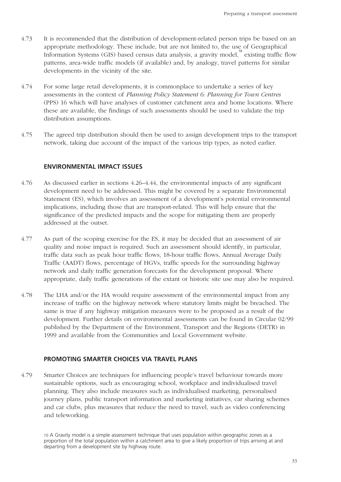- 4.73 It is recommended that the distribution of development-related person trips be based on an appropriate methodology. These include, but are not limited to, the use of Geographical Information Systems (GIS) based census data analysis, a gravity model.<sup>10</sup> existing traffic flow patterns, area-wide traffic models (if available) and, by analogy, travel patterns for similar developments in the vicinity of the site.
- 4.74 For some large retail developments, it is commonplace to undertake a series of key assessments in the context of *Planning Policy Statement 6: Planning for Town Centres* (PPS) 16 which will have analyses of customer catchment area and home locations. Where these are available, the findings of such assessments should be used to validate the trip distribution assumptions.
- 4.75 The agreed trip distribution should then be used to assign development trips to the transport network, taking due account of the impact of the various trip types, as noted earlier.

#### **ENVIRONMENTAL IMPACT ISSUES**

- 4.76 As discussed earlier in sections 4.26–4.44, the environmental impacts of any significant development need to be addressed. This might be covered by a separate Environmental Statement (ES), which involves an assessment of a development's potential environmental implications, including those that are transport-related. This will help ensure that the significance of the predicted impacts and the scope for mitigating them are properly addressed at the outset.
- 4.77 As part of the scoping exercise for the ES, it may be decided that an assessment of air quality and noise impact is required. Such an assessment should identify, in particular, traffic data such as peak hour traffic flows, 18-hour traffic flows, Annual Average Daily Traffic (AADT) flows, percentage of HGVs, traffic speeds for the surrounding highway network and daily traffic generation forecasts for the development proposal. Where appropriate, daily traffic generations of the extant or historic site use may also be required.
- 4.78 The LHA and/or the HA would require assessment of the environmental impact from any increase of traffic on the highway network where statutory limits might be breached. The same is true if any highway mitigation measures were to be proposed as a result of the development. Further details on environmental assessments can be found in Circular 02/99 published by the Department of the Environment, Transport and the Regions (DETR) in 1999 and available from the Communities and Local Government website.

#### **PROMOTING SMARTER CHOICES VIA TRAVEL PLANS**

4.79 Smarter Choices are techniques for influencing people's travel behaviour towards more sustainable options, such as encouraging school, workplace and individualised travel planning. They also include measures such as individualised marketing, personalised journey plans, public transport information and marketing initiatives, car sharing schemes and car clubs, plus measures that reduce the need to travel, such as video conferencing and teleworking.

10 A Gravity model is a simple assessment technique that uses population within geographic zones as a proportion of the total population within a catchment area to give a likely proportion of trips arriving at and departing from a development site by highway route.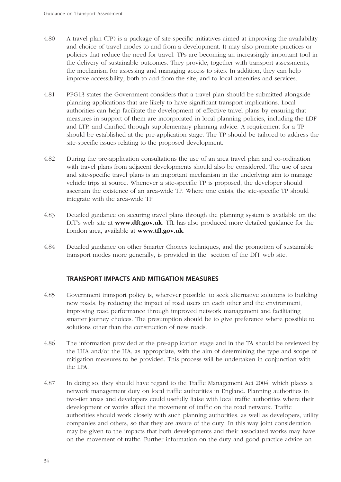- 4.80 A travel plan (TP) is a package of site-specific initiatives aimed at improving the availability and choice of travel modes to and from a development. It may also promote practices or policies that reduce the need for travel. TPs are becoming an increasingly important tool in the delivery of sustainable outcomes. They provide, together with transport assessments, the mechanism for assessing and managing access to sites. In addition, they can help improve accessibility, both to and from the site, and to local amenities and services.
- 4.81 PPG13 states the Government considers that a travel plan should be submitted alongside planning applications that are likely to have significant transport implications. Local authorities can help facilitate the development of effective travel plans by ensuring that measures in support of them are incorporated in local planning policies, including the LDF and LTP, and clarified through supplementary planning advice. A requirement for a TP should be established at the pre-application stage. The TP should be tailored to address the site-specific issues relating to the proposed development.
- 4.82 During the pre-application consultations the use of an area travel plan and co-ordination with travel plans from adjacent developments should also be considered. The use of area and site-specific travel plans is an important mechanism in the underlying aim to manage vehicle trips at source. Whenever a site-specific TP is proposed, the developer should ascertain the existence of an area-wide TP. Where one exists, the site-specific TP should integrate with the area-wide TP.
- 4.83 Detailed guidance on securing travel plans through the planning system is available on the DfT's web site at **www.dft.gov.uk**. TfL has also produced more detailed guidance for the London area, available at **www.tfl.gov.uk**.
- 4.84 Detailed guidance on other Smarter Choices techniques, and the promotion of sustainable transport modes more generally, is provided in the section of the DfT web site.

#### **TRANSPORT IMPACTS AND MITIGATION MEASURES**

- 4.85 Government transport policy is, wherever possible, to seek alternative solutions to building new roads, by reducing the impact of road users on each other and the environment, improving road performance through improved network management and facilitating smarter journey choices. The presumption should be to give preference where possible to solutions other than the construction of new roads.
- 4.86 The information provided at the pre-application stage and in the TA should be reviewed by the LHA and/or the HA, as appropriate, with the aim of determining the type and scope of mitigation measures to be provided. This process will be undertaken in conjunction with the LPA.
- 4.87 In doing so, they should have regard to the Traffic Management Act 2004, which places a network management duty on local traffic authorities in England. Planning authorities in two-tier areas and developers could usefully liaise with local traffic authorities where their development or works affect the movement of traffic on the road network. Traffic authorities should work closely with such planning authorities, as well as developers, utility companies and others, so that they are aware of the duty. In this way joint consideration may be given to the impacts that both developments and their associated works may have on the movement of traffic. Further information on the duty and good practice advice on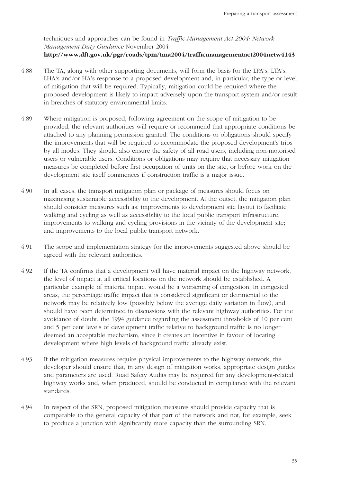techniques and approaches can be found in *Traffic Management Act 2004: Network Management Duty Guidance* November 2004 **http://www.dft.gov.uk/pgr/roads/tpm/tma2004/trafficmanagementact2004netw4143**

- 4.88 The TA, along with other supporting documents, will form the basis for the LPA's, LTA's, LHA's and/or HA's response to a proposed development and, in particular, the type or level of mitigation that will be required. Typically, mitigation could be required where the proposed development is likely to impact adversely upon the transport system and/or result in breaches of statutory environmental limits.
- 4.89 Where mitigation is proposed, following agreement on the scope of mitigation to be provided, the relevant authorities will require or recommend that appropriate conditions be attached to any planning permission granted. The conditions or obligations should specify the improvements that will be required to accommodate the proposed development's trips by all modes. They should also ensure the safety of all road users, including non-motorised users or vulnerable users. Conditions or obligations may require that necessary mitigation measures be completed before first occupation of units on the site, or before work on the development site itself commences if construction traffic is a major issue.
- 4.90 In all cases, the transport mitigation plan or package of measures should focus on maximising sustainable accessibility to the development. At the outset, the mitigation plan should consider measures such as: improvements to development site layout to facilitate walking and cycling as well as accessibility to the local public transport infrastructure; improvements to walking and cycling provisions in the vicinity of the development site; and improvements to the local public transport network.
- 4.91 The scope and implementation strategy for the improvements suggested above should be agreed with the relevant authorities.
- 4.92 If the TA confirms that a development will have material impact on the highway network, the level of impact at all critical locations on the network should be established. A particular example of material impact would be a worsening of congestion. In congested areas, the percentage traffic impact that is considered significant or detrimental to the network may be relatively low (possibly below the average daily variation in flow), and should have been determined in discussions with the relevant highway authorities. For the avoidance of doubt, the 1994 guidance regarding the assessment thresholds of 10 per cent and 5 per cent levels of development traffic relative to background traffic is no longer deemed an acceptable mechanism, since it creates an incentive in favour of locating development where high levels of background traffic already exist.
- 4.93 If the mitigation measures require physical improvements to the highway network, the developer should ensure that, in any design of mitigation works, appropriate design guides and parameters are used. Road Safety Audits may be required for any development-related highway works and, when produced, should be conducted in compliance with the relevant standards.
- 4.94 In respect of the SRN, proposed mitigation measures should provide capacity that is comparable to the general capacity of that part of the network and not, for example, seek to produce a junction with significantly more capacity than the surrounding SRN.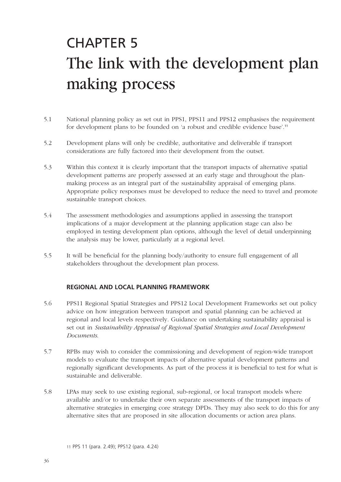## CHAPTER 5 The link with the development plan making process

- 5.1 National planning policy as set out in PPS1, PPS11 and PPS12 emphasises the requirement for development plans to be founded on 'a robust and credible evidence base'.<sup>11</sup>
- 5.2 Development plans will only be credible, authoritative and deliverable if transport considerations are fully factored into their development from the outset.
- 5.3 Within this context it is clearly important that the transport impacts of alternative spatial development patterns are properly assessed at an early stage and throughout the planmaking process as an integral part of the sustainability appraisal of emerging plans. Appropriate policy responses must be developed to reduce the need to travel and promote sustainable transport choices.
- 5.4 The assessment methodologies and assumptions applied in assessing the transport implications of a major development at the planning application stage can also be employed in testing development plan options, although the level of detail underpinning the analysis may be lower, particularly at a regional level.
- 5.5 It will be beneficial for the planning body/authority to ensure full engagement of all stakeholders throughout the development plan process.

#### **REGIONAL AND LOCAL PLANNING FRAMEWORK**

- 5.6 PPS11 Regional Spatial Strategies and PPS12 Local Development Frameworks set out policy advice on how integration between transport and spatial planning can be achieved at regional and local levels respectively. Guidance on undertaking sustainability appraisal is set out in *Sustainability Appraisal of Regional Spatial Strategies and Local Development Documents*.
- 5.7 RPBs may wish to consider the commissioning and development of region-wide transport models to evaluate the transport impacts of alternative spatial development patterns and regionally significant developments. As part of the process it is beneficial to test for what is sustainable and deliverable.
- 5.8 LPAs may seek to use existing regional, sub-regional, or local transport models where available and/or to undertake their own separate assessments of the transport impacts of alternative strategies in emerging core strategy DPDs. They may also seek to do this for any alternative sites that are proposed in site allocation documents or action area plans.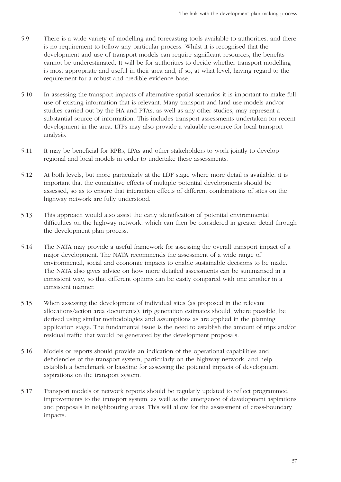- 5.9 There is a wide variety of modelling and forecasting tools available to authorities, and there is no requirement to follow any particular process. Whilst it is recognised that the development and use of transport models can require significant resources, the benefits cannot be underestimated. It will be for authorities to decide whether transport modelling is most appropriate and useful in their area and, if so, at what level, having regard to the requirement for a robust and credible evidence base.
- 5.10 In assessing the transport impacts of alternative spatial scenarios it is important to make full use of existing information that is relevant. Many transport and land-use models and/or studies carried out by the HA and PTAs, as well as any other studies, may represent a substantial source of information. This includes transport assessments undertaken for recent development in the area. LTPs may also provide a valuable resource for local transport analysis.
- 5.11 It may be beneficial for RPBs, LPAs and other stakeholders to work jointly to develop regional and local models in order to undertake these assessments.
- 5.12 At both levels, but more particularly at the LDF stage where more detail is available, it is important that the cumulative effects of multiple potential developments should be assessed, so as to ensure that interaction effects of different combinations of sites on the highway network are fully understood.
- 5.13 This approach would also assist the early identification of potential environmental difficulties on the highway network, which can then be considered in greater detail through the development plan process.
- 5.14 The NATA may provide a useful framework for assessing the overall transport impact of a major development. The NATA recommends the assessment of a wide range of environmental, social and economic impacts to enable sustainable decisions to be made. The NATA also gives advice on how more detailed assessments can be summarised in a consistent way, so that different options can be easily compared with one another in a consistent manner.
- 5.15 When assessing the development of individual sites (as proposed in the relevant allocations/action area documents), trip generation estimates should, where possible, be derived using similar methodologies and assumptions as are applied in the planning application stage. The fundamental issue is the need to establish the amount of trips and/or residual traffic that would be generated by the development proposals.
- 5.16 Models or reports should provide an indication of the operational capabilities and deficiencies of the transport system, particularly on the highway network, and help establish a benchmark or baseline for assessing the potential impacts of development aspirations on the transport system.
- 5.17 Transport models or network reports should be regularly updated to reflect programmed improvements to the transport system, as well as the emergence of development aspirations and proposals in neighbouring areas. This will allow for the assessment of cross-boundary impacts.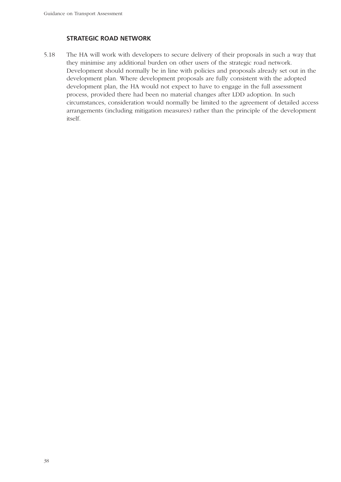#### **STRATEGIC ROAD NETWORK**

5.18 The HA will work with developers to secure delivery of their proposals in such a way that they minimise any additional burden on other users of the strategic road network. Development should normally be in line with policies and proposals already set out in the development plan. Where development proposals are fully consistent with the adopted development plan, the HA would not expect to have to engage in the full assessment process, provided there had been no material changes after LDD adoption. In such circumstances, consideration would normally be limited to the agreement of detailed access arrangements (including mitigation measures) rather than the principle of the development itself.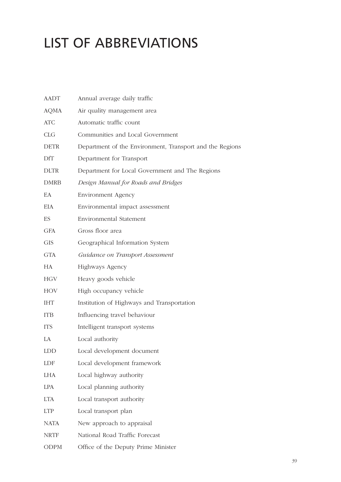### LIST OF ABBREVIATIONS

| <b>AADT</b> | Annual average daily traffic                             |
|-------------|----------------------------------------------------------|
| <b>AQMA</b> | Air quality management area                              |
| <b>ATC</b>  | Automatic traffic count                                  |
| <b>CLG</b>  | Communities and Local Government                         |
| <b>DETR</b> | Department of the Environment, Transport and the Regions |
| DfT         | Department for Transport                                 |
| <b>DLTR</b> | Department for Local Government and The Regions          |
| <b>DMRB</b> | Design Manual for Roads and Bridges                      |
| EA          | <b>Environment Agency</b>                                |
| <b>EIA</b>  | Environmental impact assessment                          |
| ES          | <b>Environmental Statement</b>                           |
| <b>GFA</b>  | Gross floor area                                         |
| <b>GIS</b>  | Geographical Information System                          |
| GTA         | Guidance on Transport Assessment                         |
| HA          | Highways Agency                                          |
| <b>HGV</b>  | Heavy goods vehicle                                      |
| <b>HOV</b>  | High occupancy vehicle                                   |
| <b>IHT</b>  | Institution of Highways and Transportation               |
| <b>ITB</b>  | Influencing travel behaviour                             |
| <b>ITS</b>  | Intelligent transport systems                            |
| LA          | Local authority                                          |
| LDD.        | Local development document                               |
| LDF         | Local development framework                              |
| <b>LHA</b>  | Local highway authority                                  |
| <b>LPA</b>  | Local planning authority                                 |
| <b>LTA</b>  | Local transport authority                                |
| <b>LTP</b>  | Local transport plan                                     |
| <b>NATA</b> | New approach to appraisal                                |
| <b>NRTF</b> | National Road Traffic Forecast                           |
| <b>ODPM</b> | Office of the Deputy Prime Minister                      |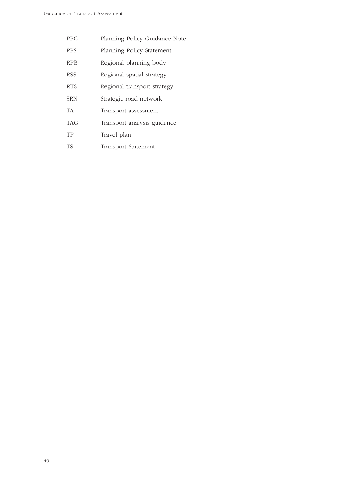- PPG Planning Policy Guidance Note
- PPS Planning Policy Statement
- RPB Regional planning body
- RSS Regional spatial strategy
- RTS Regional transport strategy
- SRN Strategic road network
- TA Transport assessment
- TAG Transport analysis guidance
- TP Travel plan
- TS Transport Statement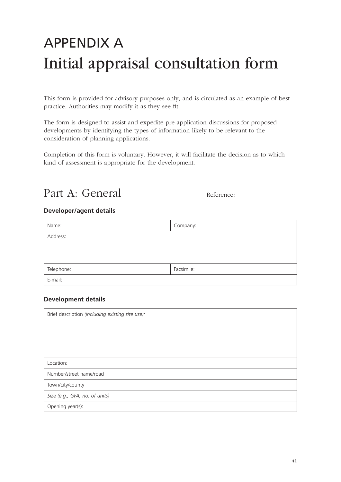### APPENDIX A Initial appraisal consultation form

This form is provided for advisory purposes only, and is circulated as an example of best practice. Authorities may modify it as they see fit.

The form is designed to assist and expedite pre-application discussions for proposed developments by identifying the types of information likely to be relevant to the consideration of planning applications.

Completion of this form is voluntary. However, it will facilitate the decision as to which kind of assessment is appropriate for the development.

Part A: General Reference:

#### **Developer/agent details**

| Name:      | Company:   |
|------------|------------|
| Address:   |            |
|            |            |
|            |            |
| Telephone: | Facsimile: |
| E-mail:    |            |

#### **Development details**

| Brief description (including existing site use): |  |  |  |  |
|--------------------------------------------------|--|--|--|--|
|                                                  |  |  |  |  |
|                                                  |  |  |  |  |
|                                                  |  |  |  |  |
|                                                  |  |  |  |  |
| Location:                                        |  |  |  |  |
| Number/street name/road                          |  |  |  |  |
| Town/city/county                                 |  |  |  |  |
| Size (e.g., GFA, no. of units)                   |  |  |  |  |
| Opening year(s):                                 |  |  |  |  |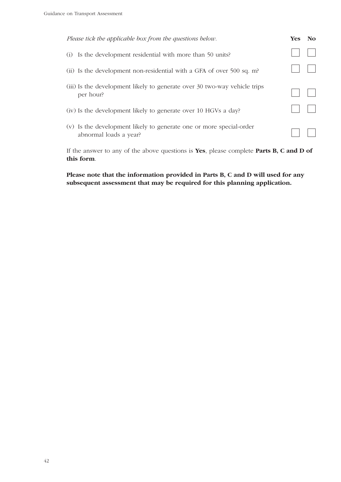| Please tick the applicable box from the questions below.                                      | <b>Yes</b> | No |
|-----------------------------------------------------------------------------------------------|------------|----|
| Is the development residential with more than 50 units?<br>(i)                                |            |    |
| (ii) Is the development non-residential with a GFA of over 500 sq. m?                         |            |    |
| (iii) Is the development likely to generate over 30 two-way vehicle trips<br>per hour?        |            |    |
| (iv) Is the development likely to generate over 10 HGVs a day?                                |            |    |
| (v) Is the development likely to generate one or more special-order<br>abnormal loads a year? |            |    |

If the answer to any of the above questions is **Yes**, please complete **Parts B, C and D of this form**.

#### **Please note that the information provided in Parts B, C and D will used for any subsequent assessment that may be required for this planning application.**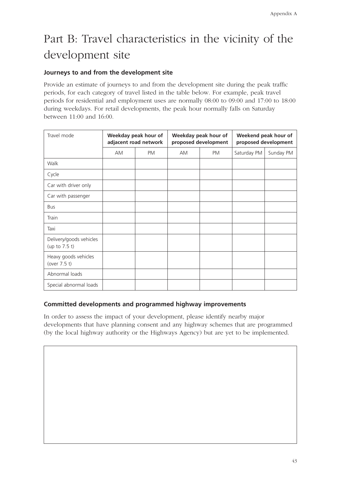### Part B: Travel characteristics in the vicinity of the development site

#### **Journeys to and from the development site**

Provide an estimate of journeys to and from the development site during the peak traffic periods, for each category of travel listed in the table below. For example, peak travel periods for residential and employment uses are normally 08:00 to 09:00 and 17:00 to 18:00 during weekdays. For retail developments, the peak hour normally falls on Saturday between 11:00 and 16:00.

| Travel mode<br>Weekday peak hour of<br>adjacent road network |           | Weekday peak hour of<br>proposed development |           | Weekend peak hour of<br>proposed development |             |           |
|--------------------------------------------------------------|-----------|----------------------------------------------|-----------|----------------------------------------------|-------------|-----------|
|                                                              | <b>AM</b> | <b>PM</b>                                    | <b>AM</b> | <b>PM</b>                                    | Saturday PM | Sunday PM |
| Walk                                                         |           |                                              |           |                                              |             |           |
| Cycle                                                        |           |                                              |           |                                              |             |           |
| Car with driver only                                         |           |                                              |           |                                              |             |           |
| Car with passenger                                           |           |                                              |           |                                              |             |           |
| <b>Bus</b>                                                   |           |                                              |           |                                              |             |           |
| Train                                                        |           |                                              |           |                                              |             |           |
| Taxi                                                         |           |                                              |           |                                              |             |           |
| Delivery/goods vehicles<br>(up to $7.5$ t)                   |           |                                              |           |                                              |             |           |
| Heavy goods vehicles<br>(over 7.5 t)                         |           |                                              |           |                                              |             |           |
| Abnormal loads                                               |           |                                              |           |                                              |             |           |
| Special abnormal loads                                       |           |                                              |           |                                              |             |           |

#### **Committed developments and programmed highway improvements**

In order to assess the impact of your development, please identify nearby major developments that have planning consent and any highway schemes that are programmed (by the local highway authority or the Highways Agency) but are yet to be implemented.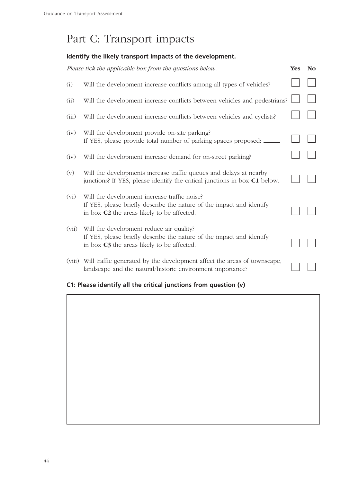### Part C: Transport impacts

### **Identify the likely transport impacts of the development.**

|         | Please tick the applicable box from the questions below.                                                                                                            | <b>Yes</b> | N <sub>o</sub> |
|---------|---------------------------------------------------------------------------------------------------------------------------------------------------------------------|------------|----------------|
| (i)     | Will the development increase conflicts among all types of vehicles?                                                                                                |            |                |
| (ii)    | Will the development increase conflicts between vehicles and pedestrians?                                                                                           |            |                |
| (iii)   | Will the development increase conflicts between vehicles and cyclists?                                                                                              |            |                |
| (iv)    | Will the development provide on-site parking?<br>If YES, please provide total number of parking spaces proposed:                                                    |            |                |
| (iv)    | Will the development increase demand for on-street parking?                                                                                                         |            |                |
| (v)     | Will the developments increase traffic queues and delays at nearby<br>junctions? If YES, please identify the critical junctions in box C1 below.                    |            |                |
| $(v_i)$ | Will the development increase traffic noise?<br>If YES, please briefly describe the nature of the impact and identify<br>in box C2 the areas likely to be affected. |            |                |
| (vii)   | Will the development reduce air quality?<br>If YES, please briefly describe the nature of the impact and identify<br>in box C3 the areas likely to be affected.     |            |                |
| (viii)  | Will traffic generated by the development affect the areas of townscape,<br>landscape and the natural/historic environment importance?                              |            |                |

#### **C1: Please identify all the critical junctions from question (v)**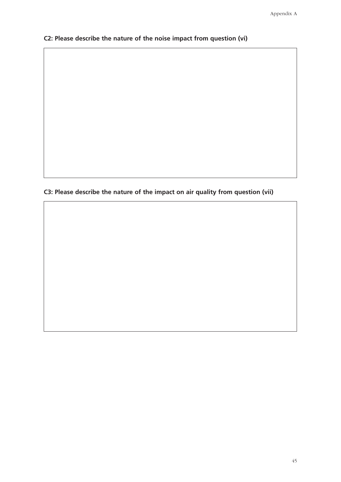**C2: Please describe the nature of the noise impact from question (vi)**

**C3: Please describe the nature of the impact on air quality from question (vii)**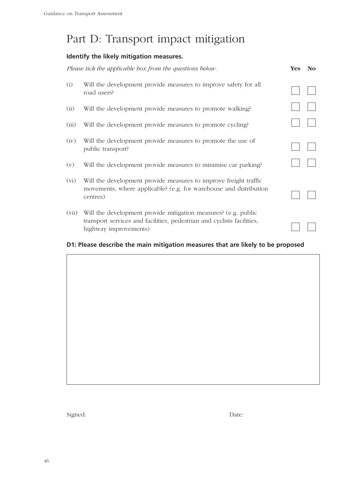### Part D: Transport impact mitigation

### **Identify the likely mitigation measures.**

|         | Please tick the applicable box from the questions below.                                                                                                          | Yes | <b>No</b> |
|---------|-------------------------------------------------------------------------------------------------------------------------------------------------------------------|-----|-----------|
| (i)     | Will the development provide measures to improve safety for all<br>road users?                                                                                    |     |           |
| (ii)    | Will the development provide measures to promote walking?                                                                                                         |     |           |
| (iii)   | Will the development provide measures to promote cycling?                                                                                                         |     |           |
| (iv)    | Will the development provide measures to promote the use of<br>public transport?                                                                                  |     |           |
| (v)     | Will the development provide measures to minimise car parking?                                                                                                    |     |           |
| $(v_i)$ | Will the development provide measures to improve freight traffic<br>movements, where applicable? (e.g. for warehouse and distribution<br>centres)                 |     |           |
| (vii)   | Will the development provide mitigation measures? (e.g. public<br>transport services and facilities, pedestrian and cyclists facilities,<br>highway improvements) |     |           |

#### **D1: Please describe the main mitigation measures that are likely to be proposed**

Signed: Date: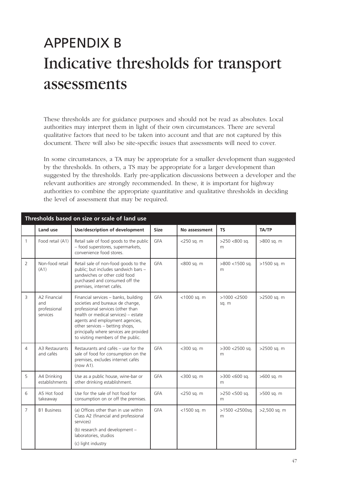### APPENDIX B Indicative thresholds for transport assessments

These thresholds are for guidance purposes and should not be read as absolutes. Local authorities may interpret them in light of their own circumstances. There are several qualitative factors that need to be taken into account and that are not captured by this document. There will also be site-specific issues that assessments will need to cover.

In some circumstances, a TA may be appropriate for a smaller development than suggested by the thresholds. In others, a TS may be appropriate for a larger development than suggested by the thresholds. Early pre-application discussions between a developer and the relevant authorities are strongly recommended. In these, it is important for highway authorities to combine the appropriate quantitative and qualitative thresholds in deciding the level of assessment that may be required.

|                | Thresholds based on size or scale of land use   |                                                                                                                                                                                                                                                                                                              |             |               |                       |              |  |  |
|----------------|-------------------------------------------------|--------------------------------------------------------------------------------------------------------------------------------------------------------------------------------------------------------------------------------------------------------------------------------------------------------------|-------------|---------------|-----------------------|--------------|--|--|
|                | Land use                                        | Use/description of development                                                                                                                                                                                                                                                                               | <b>Size</b> | No assessment | <b>TS</b>             | TA/TP        |  |  |
| $\mathbf{1}$   | Food retail (A1)                                | Retail sale of food goods to the public<br>- food superstores, supermarkets,<br>convenience food stores.                                                                                                                                                                                                     | <b>GFA</b>  | <250 sq. m    | $>250$ <800 sq.<br>m  | >800 sq. m   |  |  |
| $\overline{2}$ | Non-food retail<br>(A1)                         | Retail sale of non-food goods to the<br>public; but includes sandwich bars -<br>sandwiches or other cold food<br>purchased and consumed off the<br>premises, internet cafés.                                                                                                                                 | <b>GFA</b>  | <800 sq. m    | $>800$ <1500 sq.<br>m | >1500 sq. m  |  |  |
| 3              | A2 Financial<br>and<br>professional<br>services | Financial services - banks, building<br>societies and bureaux de change,<br>professional services (other than<br>health or medical services) - estate<br>agents and employment agencies,<br>other services - betting shops,<br>principally where services are provided<br>to visiting members of the public. | GFA         | <1000 sq. m   | >1000 < 2500<br>sq. m | >2500 sq. m  |  |  |
| 4              | A3 Restaurants<br>and cafés                     | Restaurants and cafés - use for the<br>sale of food for consumption on the<br>premises, excludes internet cafés<br>$(now A1)$ .                                                                                                                                                                              | <b>GFA</b>  | <300 sq. m    | $>300$ <2500 sq.<br>m | >2500 sq. m  |  |  |
| 5              | A4 Drinking<br>establishments                   | Use as a public house, wine-bar or<br>other drinking establishment.                                                                                                                                                                                                                                          | <b>GFA</b>  | <300 sq. m    | $>300$ <600 sq.<br>m  | >600 sq. m   |  |  |
| 6              | A5 Hot food<br>takeaway                         | Use for the sale of hot food for<br>consumption on or off the premises.                                                                                                                                                                                                                                      | <b>GFA</b>  | $<$ 250 sq. m | $>250$ <500 sq.<br>m  | >500 sq. m   |  |  |
| $\overline{7}$ | <b>B1 Business</b>                              | (a) Offices other than in use within<br>Class A2 (financial and professional<br>services)<br>(b) research and development -<br>laboratories, studios<br>(c) light industry                                                                                                                                   | GFA         | <1500 sq. m   | $>1500$ <2500sq.<br>m | >2,500 sq. m |  |  |
|                |                                                 |                                                                                                                                                                                                                                                                                                              |             |               |                       |              |  |  |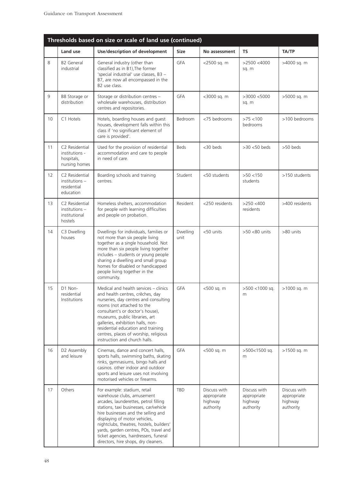|    |                                                                 | Thresholds based on size or scale of land use (continued)                                                                                                                                                                                                                                                                                                                                     |                  |                                                     |                                                     |                                                     |
|----|-----------------------------------------------------------------|-----------------------------------------------------------------------------------------------------------------------------------------------------------------------------------------------------------------------------------------------------------------------------------------------------------------------------------------------------------------------------------------------|------------------|-----------------------------------------------------|-----------------------------------------------------|-----------------------------------------------------|
|    | Land use                                                        | Use/description of development                                                                                                                                                                                                                                                                                                                                                                | <b>Size</b>      | No assessment                                       | <b>TS</b>                                           | TA/TP                                               |
| 8  | <b>B2 General</b><br>industrial                                 | General industry (other than<br>classified as in B1), The former<br>'special industrial' use classes, B3 -<br>B7, are now all encompassed in the<br>B2 use class.                                                                                                                                                                                                                             | <b>GFA</b>       | <2500 sq. m                                         | $>2500$ <4000<br>sq. m                              | >4000 sq. m                                         |
| 9  | B8 Storage or<br>distribution                                   | Storage or distribution centres -<br>wholesale warehouses, distribution<br>centres and repositories.                                                                                                                                                                                                                                                                                          | <b>GFA</b>       | <3000 sq. m                                         | $>3000$ <5000<br>sq. m                              | >5000 sq. m                                         |
| 10 | C1 Hotels                                                       | Hotels, boarding houses and guest<br>houses, development falls within this<br>class if 'no significant element of<br>care is provided'.                                                                                                                                                                                                                                                       | Bedroom          | <75 bedrooms                                        | $>75$ < 100<br>bedrooms                             | >100 bedrooms                                       |
| 11 | C2 Residential<br>institutions -<br>hospitals,<br>nursing homes | Used for the provision of residential<br>accommodation and care to people<br>in need of care.                                                                                                                                                                                                                                                                                                 | <b>Beds</b>      | <30 beds                                            | $>30$ <50 beds                                      | >50 beds                                            |
| 12 | C2 Residential<br>$institutions -$<br>residential<br>education  | Boarding schools and training<br>centres.                                                                                                                                                                                                                                                                                                                                                     | Student          | <50 students                                        | $>50$ <150<br>students                              | >150 students                                       |
| 13 | C2 Residential<br>$institutions -$<br>institutional<br>hostels  | Homeless shelters, accommodation<br>for people with learning difficulties<br>and people on probation.                                                                                                                                                                                                                                                                                         | Resident         | <250 residents                                      | $>250$ <400<br>residents                            | >400 residents                                      |
| 14 | C3 Dwelling<br>houses                                           | Dwellings for individuals, families or<br>not more than six people living<br>together as a single household. Not<br>more than six people living together<br>includes - students or young people<br>sharing a dwelling and small group<br>homes for disabled or handicapped<br>people living together in the<br>community.                                                                     | Dwelling<br>unit | <50 units                                           | >50 <80 units                                       | >80 units                                           |
| 15 | D1 Non-<br>residential<br>Institutions                          | Medical and health services - clinics<br>and health centres, crêches, day<br>nurseries, day centres and consulting<br>rooms (not attached to the<br>consultant's or doctor's house),<br>museums, public libraries, art<br>galleries, exhibition halls, non-<br>residential education and training<br>centres, places of worship, religious<br>instruction and church halls.                   | GFA              | <500 sq. m                                          | >500 <1000 sq.<br>m                                 | >1000 sq. m                                         |
| 16 | D2 Assembly<br>and leisure                                      | Cinemas, dance and concert halls,<br>sports halls, swimming baths, skating<br>rinks, gymnasiums, bingo halls and<br>casinos. other indoor and outdoor<br>sports and leisure uses not involving<br>motorised vehicles or firearms.                                                                                                                                                             | <b>GFA</b>       | <500 sq. m                                          | >500<1500 sq.<br>m                                  | >1500 sq. m                                         |
| 17 | Others                                                          | For example: stadium, retail<br>warehouse clubs, amusement<br>arcades, launderettes, petrol filling<br>stations, taxi businesses, car/vehicle<br>hire businesses and the selling and<br>displaying of motor vehicles,<br>nightclubs, theatres, hostels, builders'<br>yards, garden centres, POs, travel and<br>ticket agencies, hairdressers, funeral<br>directors, hire shops, dry cleaners. | TBD              | Discuss with<br>appropriate<br>highway<br>authority | Discuss with<br>appropriate<br>highway<br>authority | Discuss with<br>appropriate<br>highway<br>authority |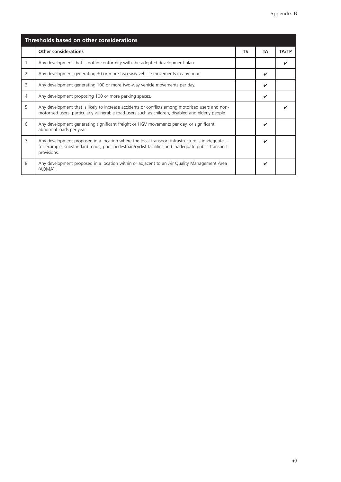| Thresholds based on other considerations |                                                                                                                                                                                                                       |  |    |              |  |
|------------------------------------------|-----------------------------------------------------------------------------------------------------------------------------------------------------------------------------------------------------------------------|--|----|--------------|--|
|                                          | <b>Other considerations</b>                                                                                                                                                                                           |  | TA | <b>TA/TP</b> |  |
|                                          | Any development that is not in conformity with the adopted development plan.                                                                                                                                          |  |    |              |  |
| 2                                        | Any development generating 30 or more two-way vehicle movements in any hour.                                                                                                                                          |  | ✓  |              |  |
| 3                                        | Any development generating 100 or more two-way vehicle movements per day.                                                                                                                                             |  | ✓  |              |  |
| 4                                        | Any development proposing 100 or more parking spaces.                                                                                                                                                                 |  | ✓  |              |  |
| 5                                        | Any development that is likely to increase accidents or conflicts among motorised users and non-<br>motorised users, particularly vulnerable road users such as children, disabled and elderly people.                |  |    |              |  |
| 6                                        | Any development generating significant freight or HGV movements per day, or significant<br>abnormal loads per year.                                                                                                   |  | ✓  |              |  |
| 7                                        | Any development proposed in a location where the local transport infrastructure is inadequate. -<br>for example, substandard roads, poor pedestrian/cyclist facilities and inadequate public transport<br>provisions. |  | ✓  |              |  |
| 8                                        | Any development proposed in a location within or adjacent to an Air Quality Management Area<br>(AQMA).                                                                                                                |  | ✓  |              |  |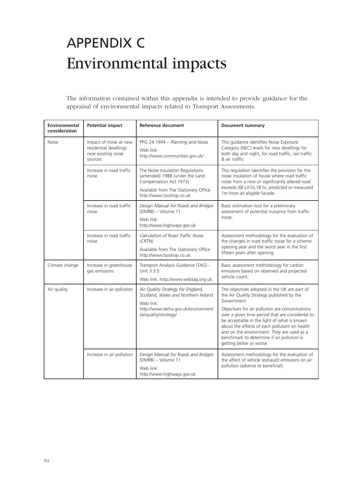## APPENDIX C Environmental impacts

The information contained within this appendix is intended to provide guidance for the appraisal of environmental impacts related to Transport Assessments.

| <b>Environmental</b><br>consideration | <b>Potential impact</b>                                                           | Reference document                                                                                                                                               | <b>Document summary</b>                                                                                                                                                                                                                                                                                                                                                                                                               |
|---------------------------------------|-----------------------------------------------------------------------------------|------------------------------------------------------------------------------------------------------------------------------------------------------------------|---------------------------------------------------------------------------------------------------------------------------------------------------------------------------------------------------------------------------------------------------------------------------------------------------------------------------------------------------------------------------------------------------------------------------------------|
| <b>Noise</b>                          | Impact of noise at new<br>residential dwellings<br>near existing noise<br>sources | PPG 24:1994 - Planning and Noise<br>Web link:<br>http://www.communities.gov.uk/                                                                                  | This guidance identifies Noise Exposure<br>Category (NEC) levels for new dwellings for<br>both day and night, for road traffic, rail traffic<br>& air traffic.                                                                                                                                                                                                                                                                        |
|                                       | Increase in road traffic<br>noise                                                 | The Noise Insulation Regulations<br>(amended) 1988 (under the Land<br>Compensation Act 1973)<br>Available from The Stationery Office<br>http://www.tsoshop.co.uk | This regulation identifies the provision for the<br>noise insulation of house where road traffic<br>noise from a new or significantly altered road<br>exceeds 68 LA10,18 hr, predicted or measured<br>1m from an eligible facade.                                                                                                                                                                                                     |
|                                       | Increase in road traffic<br>noise                                                 | Design Manual for Roads and Bridges<br>(DMRB) - Volume 11<br>Web link:<br>http://www.highways.gov.uk                                                             | Basic estimation tool for a preliminary<br>assessment of potential nuisance from traffic<br>noise.                                                                                                                                                                                                                                                                                                                                    |
|                                       | Increase in road traffic<br>noise                                                 | Calculation of Road Traffic Noise<br>(CRTN)<br>Available from The Stationery Office<br>http://www.tsoshop.co.uk                                                  | Assessment methodology for the evaluation of<br>the changes in road traffic noise for a scheme<br>opening year and the worst year in the first<br>fifteen years after opening.                                                                                                                                                                                                                                                        |
| Climate change                        | Increase in greenhouse<br>gas emissions                                           | Transport Analysis Guidance (TAG) -<br>Unit 3.3.5<br>Web link: http://www.webtag.org.uk                                                                          | Basic assessment methodology for carbon<br>emissions based on observed and projected<br>vehicle count.                                                                                                                                                                                                                                                                                                                                |
| Air quality                           | Increase in air pollution                                                         | Air Quality Strategy for England,<br>Scotland, Wales and Northern Ireland<br>Web link:<br>http://www.defra.gov.uk/environment<br>/airquality/strategy/           | The objectives adopted in the UK are part of<br>the Air Quality Strategy published by the<br>Government<br>Objectives for air pollution are concentrations<br>over a given time period that are considered to<br>be acceptable in the light of what is known<br>about the effects of each pollutant on health<br>and on the environment. They are used as a<br>benchmark to determine if air pollution is<br>getting better or worse. |
|                                       | Increase in air pollution                                                         | Design Manual for Roads and Bridges<br>(DMRB) - Volume 11<br>Web link:<br>http://www.highways.gov.uk                                                             | Assessment methodology for the evaluation of<br>the affect of vehicle (exhaust) emissions on air<br>pollution (adverse or beneficial).                                                                                                                                                                                                                                                                                                |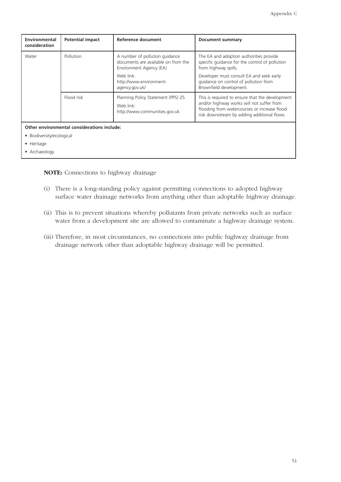| Environmental<br>consideration              | <b>Potential impact</b> | Reference document                                                                               | <b>Document summary</b>                                                                                                                                                                     |  |  |  |
|---------------------------------------------|-------------------------|--------------------------------------------------------------------------------------------------|---------------------------------------------------------------------------------------------------------------------------------------------------------------------------------------------|--|--|--|
| Water                                       | Pollution.              | A number of pollution guidance<br>documents are available on from the<br>Environment Agency (EA) | The EA and adoption authorities provide<br>specific quidance for the control of pollution<br>from highway spills.                                                                           |  |  |  |
|                                             |                         | Web link:<br>http://www.environment-<br>agency.gov.uk/                                           | Developer must consult EA and seek early<br>quidance on control of pollution from<br>Brownfield development.                                                                                |  |  |  |
|                                             | Flood risk              | Planning Policy Statement (PPS) 25<br>Web link:<br>http://www.communities.gov.uk                 | This is required to ensure that the development<br>and/or highway works will not suffer from<br>flooding from watercourses or increase flood<br>risk downstream by adding additional flows. |  |  |  |
| Other environmental considerations include: |                         |                                                                                                  |                                                                                                                                                                                             |  |  |  |
| • Biodiversity/ecological                   |                         |                                                                                                  |                                                                                                                                                                                             |  |  |  |
| • Heritage                                  |                         |                                                                                                  |                                                                                                                                                                                             |  |  |  |
| • Archaeology                               |                         |                                                                                                  |                                                                                                                                                                                             |  |  |  |

**NOTE:** Connections to highway drainage

- (i) There is a long-standing policy against permitting connections to adopted highway surface water drainage networks from anything other than adoptable highway drainage.
- (ii) This is to prevent situations whereby pollutants from private networks such as surface water from a development site are allowed to contaminate a highway drainage system.
- (iii) Therefore, in most circumstances, no connections into public highway drainage from drainage network other than adoptable highway drainage will be permitted.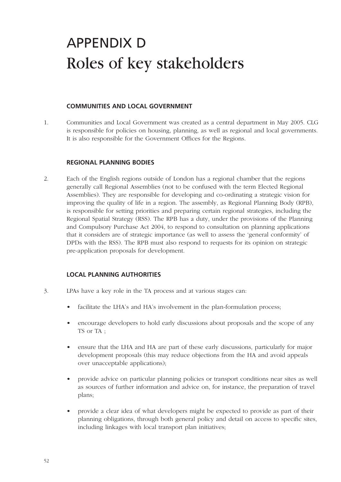### APPENDIX D Roles of key stakeholders

#### **COMMUNITIES AND LOCAL GOVERNMENT**

1. Communities and Local Government was created as a central department in May 2005. CLG is responsible for policies on housing, planning, as well as regional and local governments. It is also responsible for the Government Offices for the Regions.

#### **REGIONAL PLANNING BODIES**

2. Each of the English regions outside of London has a regional chamber that the regions generally call Regional Assemblies (not to be confused with the term Elected Regional Assemblies). They are responsible for developing and co-ordinating a strategic vision for improving the quality of life in a region. The assembly, as Regional Planning Body (RPB), is responsible for setting priorities and preparing certain regional strategies, including the Regional Spatial Strategy (RSS). The RPB has a duty, under the provisions of the Planning and Compulsory Purchase Act 2004, to respond to consultation on planning applications that it considers are of strategic importance (as well to assess the 'general conformity' of DPDs with the RSS). The RPB must also respond to requests for its opinion on strategic pre-application proposals for development.

#### **LOCAL PLANNING AUTHORITIES**

- 3. LPAs have a key role in the TA process and at various stages can:
	- facilitate the LHA's and HA's involvement in the plan-formulation process;
	- encourage developers to hold early discussions about proposals and the scope of any TS or TA ;
	- ensure that the LHA and HA are part of these early discussions, particularly for major development proposals (this may reduce objections from the HA and avoid appeals over unacceptable applications);
	- provide advice on particular planning policies or transport conditions near sites as well as sources of further information and advice on, for instance, the preparation of travel plans;
	- provide a clear idea of what developers might be expected to provide as part of their planning obligations, through both general policy and detail on access to specific sites, including linkages with local transport plan initiatives;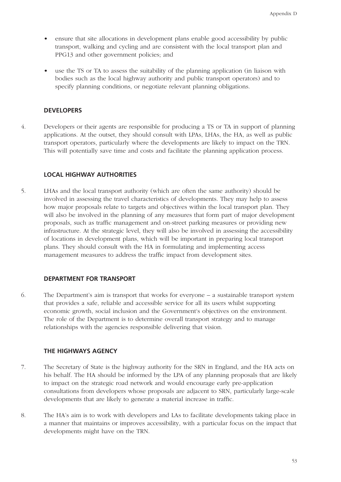- ensure that site allocations in development plans enable good accessibility by public transport, walking and cycling and are consistent with the local transport plan and PPG13 and other government policies; and
- use the TS or TA to assess the suitability of the planning application (in liaison with bodies such as the local highway authority and public transport operators) and to specify planning conditions, or negotiate relevant planning obligations.

#### **DEVELOPERS**

4. Developers or their agents are responsible for producing a TS or TA in support of planning applications. At the outset, they should consult with LPAs, LHAs, the HA, as well as public transport operators, particularly where the developments are likely to impact on the TRN. This will potentially save time and costs and facilitate the planning application process.

#### **LOCAL HIGHWAY AUTHORITIES**

5. LHAs and the local transport authority (which are often the same authority) should be involved in assessing the travel characteristics of developments. They may help to assess how major proposals relate to targets and objectives within the local transport plan. They will also be involved in the planning of any measures that form part of major development proposals, such as traffic management and on-street parking measures or providing new infrastructure. At the strategic level, they will also be involved in assessing the accessibility of locations in development plans, which will be important in preparing local transport plans. They should consult with the HA in formulating and implementing access management measures to address the traffic impact from development sites.

#### **DEPARTMENT FOR TRANSPORT**

6. The Department's aim is transport that works for everyone – a sustainable transport system that provides a safe, reliable and accessible service for all its users whilst supporting economic growth, social inclusion and the Government's objectives on the environment. The role of the Department is to determine overall transport strategy and to manage relationships with the agencies responsible delivering that vision.

#### **THE HIGHWAYS AGENCY**

- 7. The Secretary of State is the highway authority for the SRN in England, and the HA acts on his behalf. The HA should be informed by the LPA of any planning proposals that are likely to impact on the strategic road network and would encourage early pre-application consultations from developers whose proposals are adjacent to SRN, particularly large-scale developments that are likely to generate a material increase in traffic.
- 8. The HA's aim is to work with developers and LAs to facilitate developments taking place in a manner that maintains or improves accessibility, with a particular focus on the impact that developments might have on the TRN.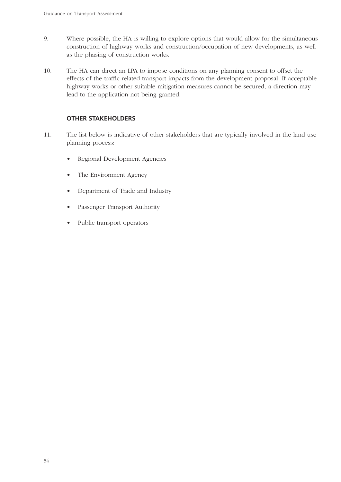- 9. Where possible, the HA is willing to explore options that would allow for the simultaneous construction of highway works and construction/occupation of new developments, as well as the phasing of construction works.
- 10. The HA can direct an LPA to impose conditions on any planning consent to offset the effects of the traffic-related transport impacts from the development proposal. If acceptable highway works or other suitable mitigation measures cannot be secured, a direction may lead to the application not being granted.

#### **OTHER STAKEHOLDERS**

- 11. The list below is indicative of other stakeholders that are typically involved in the land use planning process:
	- Regional Development Agencies
	- The Environment Agency
	- Department of Trade and Industry
	- Passenger Transport Authority
	- Public transport operators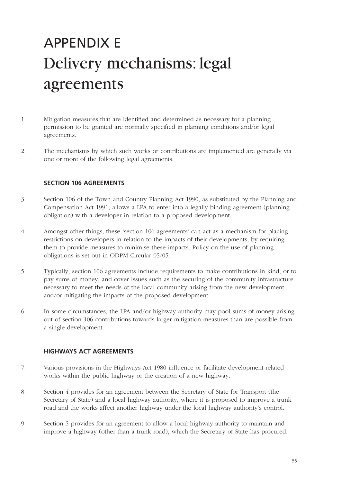## APPENDIX E Delivery mechanisms: legal agreements

- 1. Mitigation measures that are identified and determined as necessary for a planning permission to be granted are normally specified in planning conditions and/or legal agreements.
- 2. The mechanisms by which such works or contributions are implemented are generally via one or more of the following legal agreements.

#### **SECTION 106 AGREEMENTS**

- 3. Section 106 of the Town and Country Planning Act 1990, as substituted by the Planning and Compensation Act 1991, allows a LPA to enter into a legally binding agreement (planning obligation) with a developer in relation to a proposed development.
- 4. Amongst other things, these 'section 106 agreements' can act as a mechanism for placing restrictions on developers in relation to the impacts of their developments, by requiring them to provide measures to minimise these impacts. Policy on the use of planning obligations is set out in ODPM Circular 05/05.
- 5. Typically, section 106 agreements include requirements to make contributions in kind, or to pay sums of money, and cover issues such as the securing of the community infrastructure necessary to meet the needs of the local community arising from the new development and/or mitigating the impacts of the proposed development.
- 6. In some circumstances, the LPA and/or highway authority may pool sums of money arising out of section 106 contributions towards larger mitigation measures than are possible from a single development.

#### **HIGHWAYS ACT AGREEMENTS**

- 7. Various provisions in the Highways Act 1980 influence or facilitate development-related works within the public highway or the creation of a new highway.
- 8. Section 4 provides for an agreement between the Secretary of State for Transport (the Secretary of State) and a local highway authority, where it is proposed to improve a trunk road and the works affect another highway under the local highway authority's control.
- 9. Section 5 provides for an agreement to allow a local highway authority to maintain and improve a highway (other than a trunk road), which the Secretary of State has procured.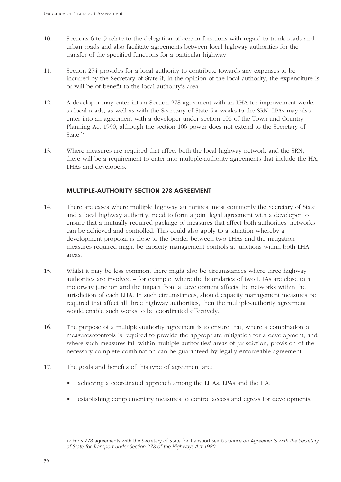- 10. Sections 6 to 9 relate to the delegation of certain functions with regard to trunk roads and urban roads and also facilitate agreements between local highway authorities for the transfer of the specified functions for a particular highway.
- 11. Section 274 provides for a local authority to contribute towards any expenses to be incurred by the Secretary of State if, in the opinion of the local authority, the expenditure is or will be of benefit to the local authority's area.
- 12. A developer may enter into a Section 278 agreement with an LHA for improvement works to local roads, as well as with the Secretary of State for works to the SRN. LPAs may also enter into an agreement with a developer under section 106 of the Town and Country Planning Act 1990, although the section 106 power does not extend to the Secretary of State. 12
- 13. Where measures are required that affect both the local highway network and the SRN, there will be a requirement to enter into multiple-authority agreements that include the HA, LHAs and developers.

#### **MULTIPLE-AUTHORITY SECTION 278 AGREEMENT**

- 14. There are cases where multiple highway authorities, most commonly the Secretary of State and a local highway authority, need to form a joint legal agreement with a developer to ensure that a mutually required package of measures that affect both authorities' networks can be achieved and controlled. This could also apply to a situation whereby a development proposal is close to the border between two LHAs and the mitigation measures required might be capacity management controls at junctions within both LHA areas.
- 15. Whilst it may be less common, there might also be circumstances where three highway authorities are involved – for example, where the boundaries of two LHAs are close to a motorway junction and the impact from a development affects the networks within the jurisdiction of each LHA. In such circumstances, should capacity management measures be required that affect all three highway authorities, then the multiple-authority agreement would enable such works to be coordinated effectively.
- 16. The purpose of a multiple-authority agreement is to ensure that, where a combination of measures/controls is required to provide the appropriate mitigation for a development, and where such measures fall within multiple authorities' areas of jurisdiction, provision of the necessary complete combination can be guaranteed by legally enforceable agreement.
- 17. The goals and benefits of this type of agreement are:
	- achieving a coordinated approach among the LHAs, LPAs and the HA;
	- establishing complementary measures to control access and egress for developments;

<sup>12</sup> For s.278 agreements with the Secretary of State for Transport see *Guidance on Agreements with the Secretary of State for Transport under Section 278 of the Highways Act 1980*